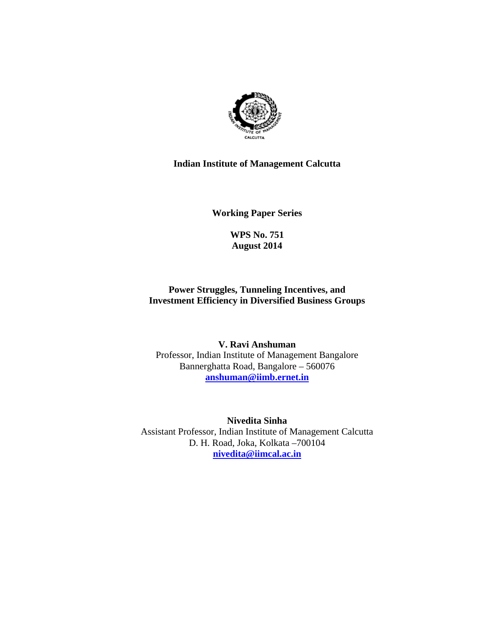

#### **Indian Institute of Management Calcutta**

**Working Paper Series** 

**WPS No. 751 August 2014**

#### **Power Struggles, Tunneling Incentives, and Investment Efficiency in Diversified Business Groups**

**V. Ravi Anshuman**  Professor, Indian Institute of Management Bangalore Bannerghatta Road, Bangalore – 560076 **anshuman@iimb.ernet.in**

**Nivedita Sinha**  Assistant Professor, Indian Institute of Management Calcutta D. H. Road, Joka, Kolkata –700104 **nivedita@iimcal.ac.in**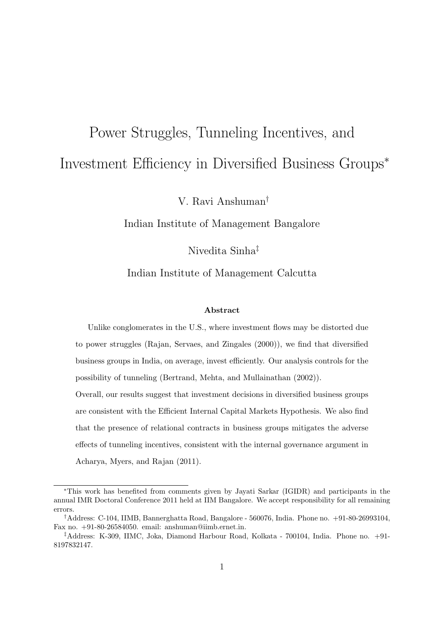# Power Struggles, Tunneling Incentives, and Investment Efficiency in Diversified Business Groups<sup>∗</sup>

V. Ravi Anshuman†

Indian Institute of Management Bangalore

Nivedita Sinha‡

#### Indian Institute of Management Calcutta

#### Abstract

Unlike conglomerates in the U.S., where investment flows may be distorted due to power struggles (Rajan, Servaes, and Zingales (2000)), we find that diversified business groups in India, on average, invest efficiently. Our analysis controls for the possibility of tunneling (Bertrand, Mehta, and Mullainathan (2002)).

Overall, our results suggest that investment decisions in diversified business groups are consistent with the Efficient Internal Capital Markets Hypothesis. We also find that the presence of relational contracts in business groups mitigates the adverse effects of tunneling incentives, consistent with the internal governance argument in Acharya, Myers, and Rajan (2011).

<sup>∗</sup>This work has benefited from comments given by Jayati Sarkar (IGIDR) and participants in the annual IMR Doctoral Conference 2011 held at IIM Bangalore. We accept responsibility for all remaining errors.

<sup>†</sup>Address: C-104, IIMB, Bannerghatta Road, Bangalore - 560076, India. Phone no. +91-80-26993104, Fax no. +91-80-26584050. email: anshuman@iimb.ernet.in.

<sup>‡</sup>Address: K-309, IIMC, Joka, Diamond Harbour Road, Kolkata - 700104, India. Phone no. +91- 8197832147.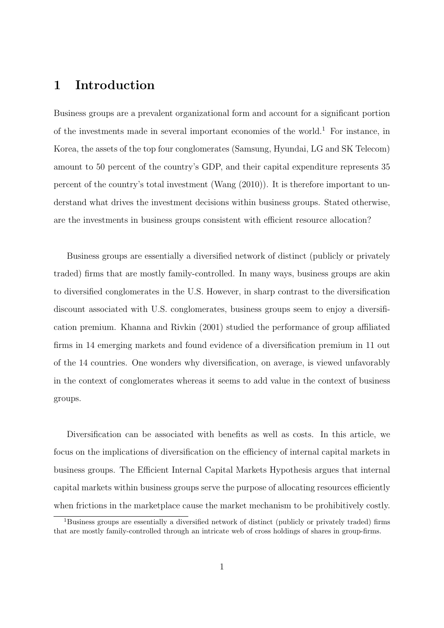## 1 Introduction

Business groups are a prevalent organizational form and account for a significant portion of the investments made in several important economies of the world.<sup>1</sup> For instance, in Korea, the assets of the top four conglomerates (Samsung, Hyundai, LG and SK Telecom) amount to 50 percent of the country's GDP, and their capital expenditure represents 35 percent of the country's total investment (Wang (2010)). It is therefore important to understand what drives the investment decisions within business groups. Stated otherwise, are the investments in business groups consistent with efficient resource allocation?

Business groups are essentially a diversified network of distinct (publicly or privately traded) firms that are mostly family-controlled. In many ways, business groups are akin to diversified conglomerates in the U.S. However, in sharp contrast to the diversification discount associated with U.S. conglomerates, business groups seem to enjoy a diversification premium. Khanna and Rivkin (2001) studied the performance of group affiliated firms in 14 emerging markets and found evidence of a diversification premium in 11 out of the 14 countries. One wonders why diversification, on average, is viewed unfavorably in the context of conglomerates whereas it seems to add value in the context of business groups.

Diversification can be associated with benefits as well as costs. In this article, we focus on the implications of diversification on the efficiency of internal capital markets in business groups. The Efficient Internal Capital Markets Hypothesis argues that internal capital markets within business groups serve the purpose of allocating resources efficiently when frictions in the marketplace cause the market mechanism to be prohibitively costly.

<sup>1</sup>Business groups are essentially a diversified network of distinct (publicly or privately traded) firms that are mostly family-controlled through an intricate web of cross holdings of shares in group-firms.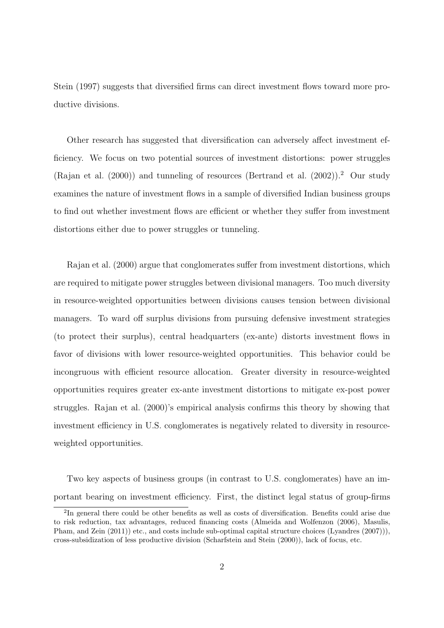Stein (1997) suggests that diversified firms can direct investment flows toward more productive divisions.

Other research has suggested that diversification can adversely affect investment efficiency. We focus on two potential sources of investment distortions: power struggles (Rajan et al. (2000)) and tunneling of resources (Bertrand et al. (2002)).<sup>2</sup> Our study examines the nature of investment flows in a sample of diversified Indian business groups to find out whether investment flows are efficient or whether they suffer from investment distortions either due to power struggles or tunneling.

Rajan et al. (2000) argue that conglomerates suffer from investment distortions, which are required to mitigate power struggles between divisional managers. Too much diversity in resource-weighted opportunities between divisions causes tension between divisional managers. To ward off surplus divisions from pursuing defensive investment strategies (to protect their surplus), central headquarters (ex-ante) distorts investment flows in favor of divisions with lower resource-weighted opportunities. This behavior could be incongruous with efficient resource allocation. Greater diversity in resource-weighted opportunities requires greater ex-ante investment distortions to mitigate ex-post power struggles. Rajan et al. (2000)'s empirical analysis confirms this theory by showing that investment efficiency in U.S. conglomerates is negatively related to diversity in resourceweighted opportunities.

Two key aspects of business groups (in contrast to U.S. conglomerates) have an important bearing on investment efficiency. First, the distinct legal status of group-firms

<sup>&</sup>lt;sup>2</sup>In general there could be other benefits as well as costs of diversification. Benefits could arise due to risk reduction, tax advantages, reduced financing costs (Almeida and Wolfenzon (2006), Masulis, Pham, and Zein (2011)) etc., and costs include sub-optimal capital structure choices (Lyandres (2007))), cross-subsidization of less productive division (Scharfstein and Stein (2000)), lack of focus, etc.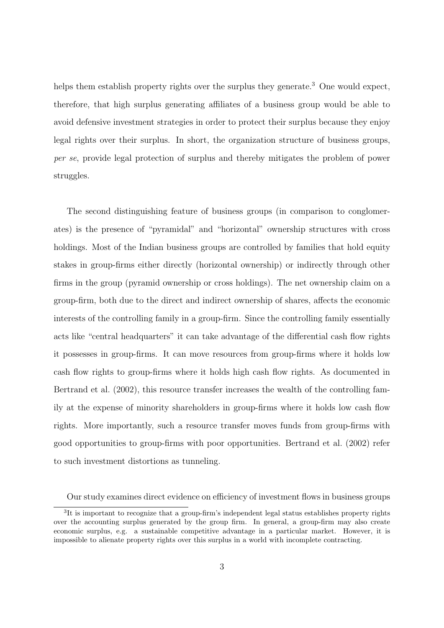helps them establish property rights over the surplus they generate.<sup>3</sup> One would expect, therefore, that high surplus generating affiliates of a business group would be able to avoid defensive investment strategies in order to protect their surplus because they enjoy legal rights over their surplus. In short, the organization structure of business groups, per se, provide legal protection of surplus and thereby mitigates the problem of power struggles.

The second distinguishing feature of business groups (in comparison to conglomerates) is the presence of "pyramidal" and "horizontal" ownership structures with cross holdings. Most of the Indian business groups are controlled by families that hold equity stakes in group-firms either directly (horizontal ownership) or indirectly through other firms in the group (pyramid ownership or cross holdings). The net ownership claim on a group-firm, both due to the direct and indirect ownership of shares, affects the economic interests of the controlling family in a group-firm. Since the controlling family essentially acts like "central headquarters" it can take advantage of the differential cash flow rights it possesses in group-firms. It can move resources from group-firms where it holds low cash flow rights to group-firms where it holds high cash flow rights. As documented in Bertrand et al. (2002), this resource transfer increases the wealth of the controlling family at the expense of minority shareholders in group-firms where it holds low cash flow rights. More importantly, such a resource transfer moves funds from group-firms with good opportunities to group-firms with poor opportunities. Bertrand et al. (2002) refer to such investment distortions as tunneling.

Our study examines direct evidence on efficiency of investment flows in business groups

<sup>&</sup>lt;sup>3</sup>It is important to recognize that a group-firm's independent legal status establishes property rights over the accounting surplus generated by the group firm. In general, a group-firm may also create economic surplus, e.g. a sustainable competitive advantage in a particular market. However, it is impossible to alienate property rights over this surplus in a world with incomplete contracting.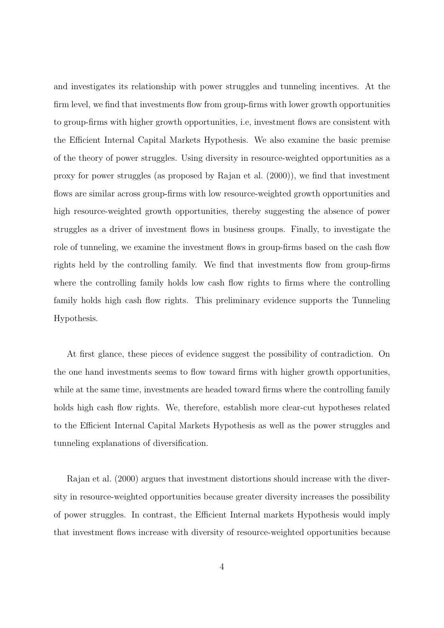and investigates its relationship with power struggles and tunneling incentives. At the firm level, we find that investments flow from group-firms with lower growth opportunities to group-firms with higher growth opportunities, i.e, investment flows are consistent with the Efficient Internal Capital Markets Hypothesis. We also examine the basic premise of the theory of power struggles. Using diversity in resource-weighted opportunities as a proxy for power struggles (as proposed by Rajan et al. (2000)), we find that investment flows are similar across group-firms with low resource-weighted growth opportunities and high resource-weighted growth opportunities, thereby suggesting the absence of power struggles as a driver of investment flows in business groups. Finally, to investigate the role of tunneling, we examine the investment flows in group-firms based on the cash flow rights held by the controlling family. We find that investments flow from group-firms where the controlling family holds low cash flow rights to firms where the controlling family holds high cash flow rights. This preliminary evidence supports the Tunneling Hypothesis.

At first glance, these pieces of evidence suggest the possibility of contradiction. On the one hand investments seems to flow toward firms with higher growth opportunities, while at the same time, investments are headed toward firms where the controlling family holds high cash flow rights. We, therefore, establish more clear-cut hypotheses related to the Efficient Internal Capital Markets Hypothesis as well as the power struggles and tunneling explanations of diversification.

Rajan et al. (2000) argues that investment distortions should increase with the diversity in resource-weighted opportunities because greater diversity increases the possibility of power struggles. In contrast, the Efficient Internal markets Hypothesis would imply that investment flows increase with diversity of resource-weighted opportunities because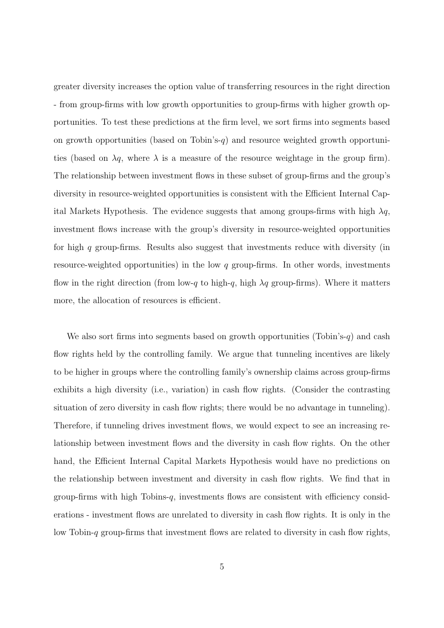greater diversity increases the option value of transferring resources in the right direction - from group-firms with low growth opportunities to group-firms with higher growth opportunities. To test these predictions at the firm level, we sort firms into segments based on growth opportunities (based on Tobin's- $q$ ) and resource weighted growth opportunities (based on  $\lambda q$ , where  $\lambda$  is a measure of the resource weightage in the group firm). The relationship between investment flows in these subset of group-firms and the group's diversity in resource-weighted opportunities is consistent with the Efficient Internal Capital Markets Hypothesis. The evidence suggests that among groups-firms with high  $\lambda q$ , investment flows increase with the group's diversity in resource-weighted opportunities for high q group-firms. Results also suggest that investments reduce with diversity (in resource-weighted opportunities) in the low q group-firms. In other words, investments flow in the right direction (from low-q to high-q, high  $\lambda q$  group-firms). Where it matters more, the allocation of resources is efficient.

We also sort firms into segments based on growth opportunities (Tobin's-q) and cash flow rights held by the controlling family. We argue that tunneling incentives are likely to be higher in groups where the controlling family's ownership claims across group-firms exhibits a high diversity (i.e., variation) in cash flow rights. (Consider the contrasting situation of zero diversity in cash flow rights; there would be no advantage in tunneling). Therefore, if tunneling drives investment flows, we would expect to see an increasing relationship between investment flows and the diversity in cash flow rights. On the other hand, the Efficient Internal Capital Markets Hypothesis would have no predictions on the relationship between investment and diversity in cash flow rights. We find that in group-firms with high Tobins-q, investments flows are consistent with efficiency considerations - investment flows are unrelated to diversity in cash flow rights. It is only in the low Tobin-q group-firms that investment flows are related to diversity in cash flow rights,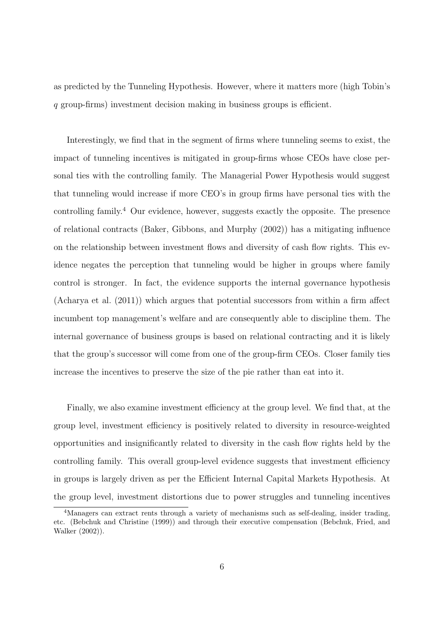as predicted by the Tunneling Hypothesis. However, where it matters more (high Tobin's q group-firms) investment decision making in business groups is efficient.

Interestingly, we find that in the segment of firms where tunneling seems to exist, the impact of tunneling incentives is mitigated in group-firms whose CEOs have close personal ties with the controlling family. The Managerial Power Hypothesis would suggest that tunneling would increase if more CEO's in group firms have personal ties with the controlling family.<sup>4</sup> Our evidence, however, suggests exactly the opposite. The presence of relational contracts (Baker, Gibbons, and Murphy (2002)) has a mitigating influence on the relationship between investment flows and diversity of cash flow rights. This evidence negates the perception that tunneling would be higher in groups where family control is stronger. In fact, the evidence supports the internal governance hypothesis (Acharya et al. (2011)) which argues that potential successors from within a firm affect incumbent top management's welfare and are consequently able to discipline them. The internal governance of business groups is based on relational contracting and it is likely that the group's successor will come from one of the group-firm CEOs. Closer family ties increase the incentives to preserve the size of the pie rather than eat into it.

Finally, we also examine investment efficiency at the group level. We find that, at the group level, investment efficiency is positively related to diversity in resource-weighted opportunities and insignificantly related to diversity in the cash flow rights held by the controlling family. This overall group-level evidence suggests that investment efficiency in groups is largely driven as per the Efficient Internal Capital Markets Hypothesis. At the group level, investment distortions due to power struggles and tunneling incentives

<sup>4</sup>Managers can extract rents through a variety of mechanisms such as self-dealing, insider trading, etc. (Bebchuk and Christine (1999)) and through their executive compensation (Bebchuk, Fried, and Walker (2002)).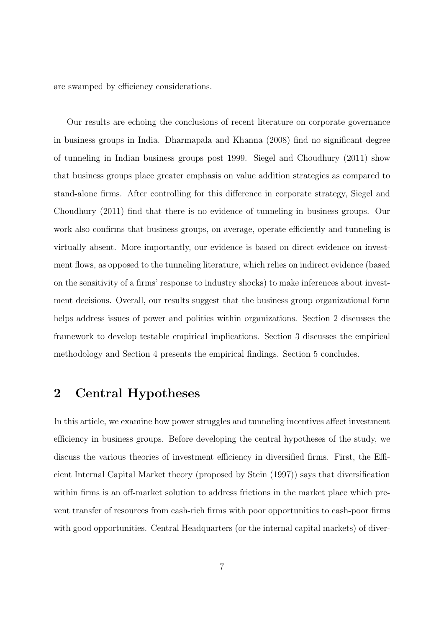are swamped by efficiency considerations.

Our results are echoing the conclusions of recent literature on corporate governance in business groups in India. Dharmapala and Khanna (2008) find no significant degree of tunneling in Indian business groups post 1999. Siegel and Choudhury (2011) show that business groups place greater emphasis on value addition strategies as compared to stand-alone firms. After controlling for this difference in corporate strategy, Siegel and Choudhury (2011) find that there is no evidence of tunneling in business groups. Our work also confirms that business groups, on average, operate efficiently and tunneling is virtually absent. More importantly, our evidence is based on direct evidence on investment flows, as opposed to the tunneling literature, which relies on indirect evidence (based on the sensitivity of a firms' response to industry shocks) to make inferences about investment decisions. Overall, our results suggest that the business group organizational form helps address issues of power and politics within organizations. Section 2 discusses the framework to develop testable empirical implications. Section 3 discusses the empirical methodology and Section 4 presents the empirical findings. Section 5 concludes.

# 2 Central Hypotheses

In this article, we examine how power struggles and tunneling incentives affect investment efficiency in business groups. Before developing the central hypotheses of the study, we discuss the various theories of investment efficiency in diversified firms. First, the Efficient Internal Capital Market theory (proposed by Stein (1997)) says that diversification within firms is an off-market solution to address frictions in the market place which prevent transfer of resources from cash-rich firms with poor opportunities to cash-poor firms with good opportunities. Central Headquarters (or the internal capital markets) of diver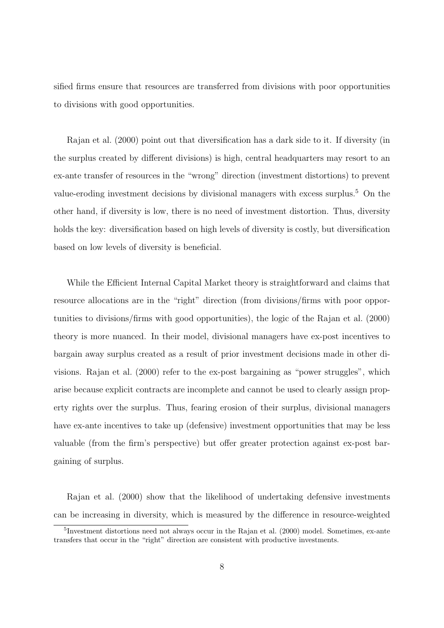sified firms ensure that resources are transferred from divisions with poor opportunities to divisions with good opportunities.

Rajan et al. (2000) point out that diversification has a dark side to it. If diversity (in the surplus created by different divisions) is high, central headquarters may resort to an ex-ante transfer of resources in the "wrong" direction (investment distortions) to prevent value-eroding investment decisions by divisional managers with excess surplus.<sup>5</sup> On the other hand, if diversity is low, there is no need of investment distortion. Thus, diversity holds the key: diversification based on high levels of diversity is costly, but diversification based on low levels of diversity is beneficial.

While the Efficient Internal Capital Market theory is straightforward and claims that resource allocations are in the "right" direction (from divisions/firms with poor opportunities to divisions/firms with good opportunities), the logic of the Rajan et al. (2000) theory is more nuanced. In their model, divisional managers have ex-post incentives to bargain away surplus created as a result of prior investment decisions made in other divisions. Rajan et al. (2000) refer to the ex-post bargaining as "power struggles", which arise because explicit contracts are incomplete and cannot be used to clearly assign property rights over the surplus. Thus, fearing erosion of their surplus, divisional managers have ex-ante incentives to take up (defensive) investment opportunities that may be less valuable (from the firm's perspective) but offer greater protection against ex-post bargaining of surplus.

Rajan et al. (2000) show that the likelihood of undertaking defensive investments can be increasing in diversity, which is measured by the difference in resource-weighted

<sup>&</sup>lt;sup>5</sup>Investment distortions need not always occur in the Rajan et al. (2000) model. Sometimes, ex-ante transfers that occur in the "right" direction are consistent with productive investments.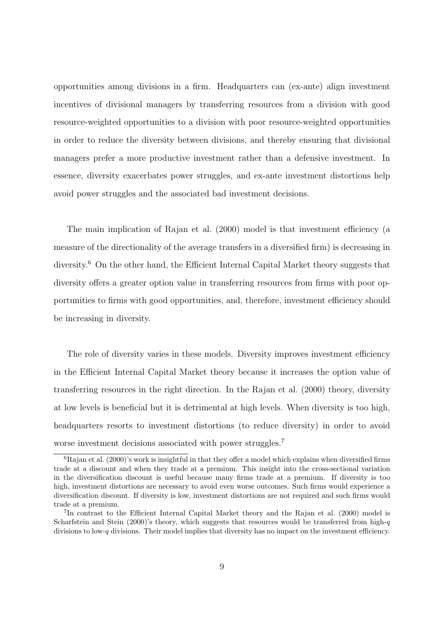opportunities among divisions in a firm. Headquarters can (ex-ante) align investment incentives of divisional managers by transferring resources from a division with good resource-weighted opportunities to a division with poor resource-weighted opportunities in order to reduce the diversity between divisions, and thereby ensuring that divisional managers prefer a more productive investment rather than a defensive investment. In essence, diversity exacerbates power struggles, and ex-ante investment distortions help avoid power struggles and the associated bad investment decisions.

The main implication of Rajan et al. (2000) model is that investment efficiency (a measure of the directionality of the average transfers in a diversified firm) is decreasing in diversity.<sup>6</sup> On the other hand, the Efficient Internal Capital Market theory suggests that diversity offers a greater option value in transferring resources from firms with poor opportunities to firms with good opportunities, and, therefore, investment efficiency should be increasing in diversity.

The role of diversity varies in these models. Diversity improves investment efficiency in the Efficient Internal Capital Market theory because it increases the option value of transferring resources in the right direction. In the Rajan et al. (2000) theory, diversity at low levels is beneficial but it is detrimental at high levels. When diversity is too high, headquarters resorts to investment distortions (to reduce diversity) in order to avoid worse investment decisions associated with power struggles.<sup>7</sup>

 ${}^{6}$ Rajan et al. (2000)'s work is insightful in that they offer a model which explains when diversified firms trade at a discount and when they trade at a premium. This insight into the cross-sectional variation in the diversification discount is useful because many firms trade at a premium. If diversity is too high, investment distortions are necessary to avoid even worse outcomes. Such firms would experience a diversification discount. If diversity is low, investment distortions are not required and such firms would trade at a premium.

<sup>&</sup>lt;sup>7</sup>In contrast to the Efficient Internal Capital Market theory and the Rajan et al. (2000) model is Scharfstein and Stein (2000)'s theory, which suggests that resources would be transferred from high- $q$ divisions to low-q divisions. Their model implies that diversity has no impact on the investment efficiency.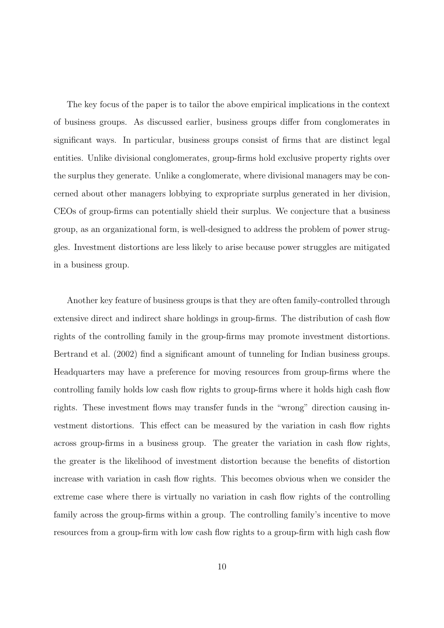The key focus of the paper is to tailor the above empirical implications in the context of business groups. As discussed earlier, business groups differ from conglomerates in significant ways. In particular, business groups consist of firms that are distinct legal entities. Unlike divisional conglomerates, group-firms hold exclusive property rights over the surplus they generate. Unlike a conglomerate, where divisional managers may be concerned about other managers lobbying to expropriate surplus generated in her division, CEOs of group-firms can potentially shield their surplus. We conjecture that a business group, as an organizational form, is well-designed to address the problem of power struggles. Investment distortions are less likely to arise because power struggles are mitigated in a business group.

Another key feature of business groups is that they are often family-controlled through extensive direct and indirect share holdings in group-firms. The distribution of cash flow rights of the controlling family in the group-firms may promote investment distortions. Bertrand et al. (2002) find a significant amount of tunneling for Indian business groups. Headquarters may have a preference for moving resources from group-firms where the controlling family holds low cash flow rights to group-firms where it holds high cash flow rights. These investment flows may transfer funds in the "wrong" direction causing investment distortions. This effect can be measured by the variation in cash flow rights across group-firms in a business group. The greater the variation in cash flow rights, the greater is the likelihood of investment distortion because the benefits of distortion increase with variation in cash flow rights. This becomes obvious when we consider the extreme case where there is virtually no variation in cash flow rights of the controlling family across the group-firms within a group. The controlling family's incentive to move resources from a group-firm with low cash flow rights to a group-firm with high cash flow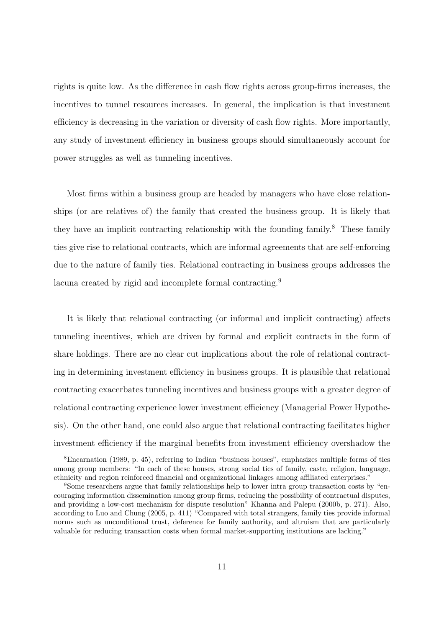rights is quite low. As the difference in cash flow rights across group-firms increases, the incentives to tunnel resources increases. In general, the implication is that investment efficiency is decreasing in the variation or diversity of cash flow rights. More importantly, any study of investment efficiency in business groups should simultaneously account for power struggles as well as tunneling incentives.

Most firms within a business group are headed by managers who have close relationships (or are relatives of) the family that created the business group. It is likely that they have an implicit contracting relationship with the founding family.<sup>8</sup> These family ties give rise to relational contracts, which are informal agreements that are self-enforcing due to the nature of family ties. Relational contracting in business groups addresses the lacuna created by rigid and incomplete formal contracting.<sup>9</sup>

It is likely that relational contracting (or informal and implicit contracting) affects tunneling incentives, which are driven by formal and explicit contracts in the form of share holdings. There are no clear cut implications about the role of relational contracting in determining investment efficiency in business groups. It is plausible that relational contracting exacerbates tunneling incentives and business groups with a greater degree of relational contracting experience lower investment efficiency (Managerial Power Hypothesis). On the other hand, one could also argue that relational contracting facilitates higher investment efficiency if the marginal benefits from investment efficiency overshadow the

<sup>8</sup>Encarnation (1989, p. 45), referring to Indian "business houses", emphasizes multiple forms of ties among group members: "In each of these houses, strong social ties of family, caste, religion, language, ethnicity and region reinforced financial and organizational linkages among affiliated enterprises."

<sup>9</sup>Some researchers argue that family relationships help to lower intra group transaction costs by "encouraging information dissemination among group firms, reducing the possibility of contractual disputes, and providing a low-cost mechanism for dispute resolution" Khanna and Palepu (2000b, p. 271). Also, according to Luo and Chung (2005, p. 411) "Compared with total strangers, family ties provide informal norms such as unconditional trust, deference for family authority, and altruism that are particularly valuable for reducing transaction costs when formal market-supporting institutions are lacking."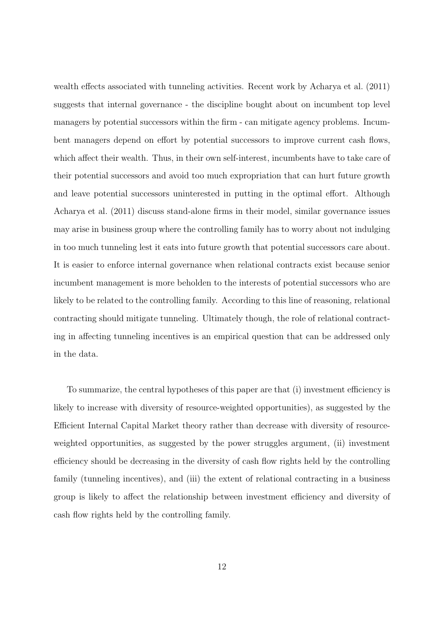wealth effects associated with tunneling activities. Recent work by Acharya et al. (2011) suggests that internal governance - the discipline bought about on incumbent top level managers by potential successors within the firm - can mitigate agency problems. Incumbent managers depend on effort by potential successors to improve current cash flows, which affect their wealth. Thus, in their own self-interest, incumbents have to take care of their potential successors and avoid too much expropriation that can hurt future growth and leave potential successors uninterested in putting in the optimal effort. Although Acharya et al. (2011) discuss stand-alone firms in their model, similar governance issues may arise in business group where the controlling family has to worry about not indulging in too much tunneling lest it eats into future growth that potential successors care about. It is easier to enforce internal governance when relational contracts exist because senior incumbent management is more beholden to the interests of potential successors who are likely to be related to the controlling family. According to this line of reasoning, relational contracting should mitigate tunneling. Ultimately though, the role of relational contracting in affecting tunneling incentives is an empirical question that can be addressed only in the data.

To summarize, the central hypotheses of this paper are that (i) investment efficiency is likely to increase with diversity of resource-weighted opportunities), as suggested by the Efficient Internal Capital Market theory rather than decrease with diversity of resourceweighted opportunities, as suggested by the power struggles argument, (ii) investment efficiency should be decreasing in the diversity of cash flow rights held by the controlling family (tunneling incentives), and (iii) the extent of relational contracting in a business group is likely to affect the relationship between investment efficiency and diversity of cash flow rights held by the controlling family.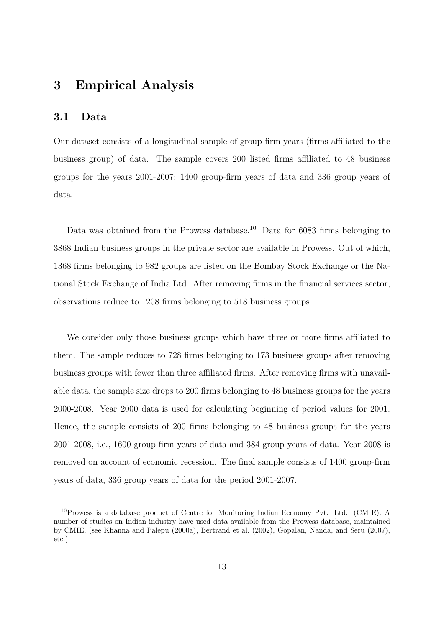### 3 Empirical Analysis

#### 3.1 Data

Our dataset consists of a longitudinal sample of group-firm-years (firms affiliated to the business group) of data. The sample covers 200 listed firms affiliated to 48 business groups for the years 2001-2007; 1400 group-firm years of data and 336 group years of data.

Data was obtained from the Prowess database.<sup>10</sup> Data for 6083 firms belonging to 3868 Indian business groups in the private sector are available in Prowess. Out of which, 1368 firms belonging to 982 groups are listed on the Bombay Stock Exchange or the National Stock Exchange of India Ltd. After removing firms in the financial services sector, observations reduce to 1208 firms belonging to 518 business groups.

We consider only those business groups which have three or more firms affiliated to them. The sample reduces to 728 firms belonging to 173 business groups after removing business groups with fewer than three affiliated firms. After removing firms with unavailable data, the sample size drops to 200 firms belonging to 48 business groups for the years 2000-2008. Year 2000 data is used for calculating beginning of period values for 2001. Hence, the sample consists of 200 firms belonging to 48 business groups for the years 2001-2008, i.e., 1600 group-firm-years of data and 384 group years of data. Year 2008 is removed on account of economic recession. The final sample consists of 1400 group-firm years of data, 336 group years of data for the period 2001-2007.

<sup>10</sup>Prowess is a database product of Centre for Monitoring Indian Economy Pvt. Ltd. (CMIE). A number of studies on Indian industry have used data available from the Prowess database, maintained by CMIE. (see Khanna and Palepu (2000a), Bertrand et al. (2002), Gopalan, Nanda, and Seru (2007), etc.)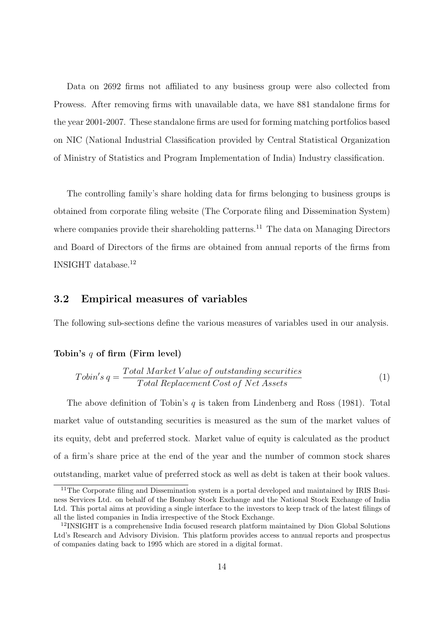Data on 2692 firms not affiliated to any business group were also collected from Prowess. After removing firms with unavailable data, we have 881 standalone firms for the year 2001-2007. These standalone firms are used for forming matching portfolios based on NIC (National Industrial Classification provided by Central Statistical Organization of Ministry of Statistics and Program Implementation of India) Industry classification.

The controlling family's share holding data for firms belonging to business groups is obtained from corporate filing website (The Corporate filing and Dissemination System) where companies provide their shareholding patterns.<sup>11</sup> The data on Managing Directors and Board of Directors of the firms are obtained from annual reports of the firms from  $\,$  INSIGHT database.  $^{12}$ 

#### 3.2 Empirical measures of variables

The following sub-sections define the various measures of variables used in our analysis.

#### Tobin's q of firm (Firm level)

$$
Tobin's \, q = \frac{Total\, Market\,Value\, of\, outstanding\, securities}{Total\, Replacement\,Cost\, of\, Net\, Assets} \tag{1}
$$

The above definition of Tobin's  $q$  is taken from Lindenberg and Ross (1981). Total market value of outstanding securities is measured as the sum of the market values of its equity, debt and preferred stock. Market value of equity is calculated as the product of a firm's share price at the end of the year and the number of common stock shares outstanding, market value of preferred stock as well as debt is taken at their book values.

 $11$ <sup>The Corporate filing and Dissemination</sup> system is a portal developed and maintained by IRIS Business Services Ltd. on behalf of the Bombay Stock Exchange and the National Stock Exchange of India Ltd. This portal aims at providing a single interface to the investors to keep track of the latest filings of all the listed companies in India irrespective of the Stock Exchange.

<sup>12</sup>INSIGHT is a comprehensive India focused research platform maintained by Dion Global Solutions Ltd's Research and Advisory Division. This platform provides access to annual reports and prospectus of companies dating back to 1995 which are stored in a digital format.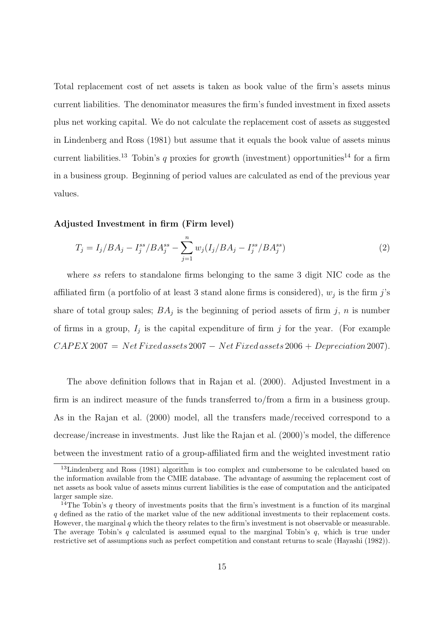Total replacement cost of net assets is taken as book value of the firm's assets minus current liabilities. The denominator measures the firm's funded investment in fixed assets plus net working capital. We do not calculate the replacement cost of assets as suggested in Lindenberg and Ross (1981) but assume that it equals the book value of assets minus current liabilities.<sup>13</sup> Tobin's q proxies for growth (investment) opportunities<sup>14</sup> for a firm in a business group. Beginning of period values are calculated as end of the previous year values.

#### Adjusted Investment in firm (Firm level)

$$
T_j = I_j / BA_j - I_j^{ss} / BA_j^{ss} - \sum_{j=1}^n w_j (I_j / BA_j - I_j^{ss} / BA_j^{ss})
$$
\n(2)

where ss refers to standalone firms belonging to the same 3 digit NIC code as the affiliated firm (a portfolio of at least 3 stand alone firms is considered),  $w_j$  is the firm j's share of total group sales;  $BA_j$  is the beginning of period assets of firm j, n is number of firms in a group,  $I_j$  is the capital expenditure of firm j for the year. (For example  $CAPEX 2007 = Net Fixed assets 2007 - Net Fixed assets 2006 + Depreciation 2007$ .

The above definition follows that in Rajan et al. (2000). Adjusted Investment in a firm is an indirect measure of the funds transferred to/from a firm in a business group. As in the Rajan et al. (2000) model, all the transfers made/received correspond to a decrease/increase in investments. Just like the Rajan et al. (2000)'s model, the difference between the investment ratio of a group-affiliated firm and the weighted investment ratio

<sup>&</sup>lt;sup>13</sup>Lindenberg and Ross (1981) algorithm is too complex and cumbersome to be calculated based on the information available from the CMIE database. The advantage of assuming the replacement cost of net assets as book value of assets minus current liabilities is the ease of computation and the anticipated larger sample size.

<sup>&</sup>lt;sup>14</sup>The Tobin's q theory of investments posits that the firm's investment is a function of its marginal q defined as the ratio of the market value of the new additional investments to their replacement costs. However, the marginal q which the theory relates to the firm's investment is not observable or measurable. The average Tobin's  $q$  calculated is assumed equal to the marginal Tobin's  $q$ , which is true under restrictive set of assumptions such as perfect competition and constant returns to scale (Hayashi (1982)).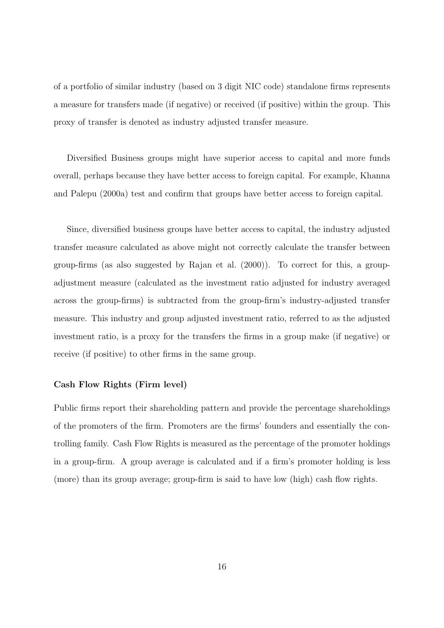of a portfolio of similar industry (based on 3 digit NIC code) standalone firms represents a measure for transfers made (if negative) or received (if positive) within the group. This proxy of transfer is denoted as industry adjusted transfer measure.

Diversified Business groups might have superior access to capital and more funds overall, perhaps because they have better access to foreign capital. For example, Khanna and Palepu (2000a) test and confirm that groups have better access to foreign capital.

Since, diversified business groups have better access to capital, the industry adjusted transfer measure calculated as above might not correctly calculate the transfer between group-firms (as also suggested by Rajan et al. (2000)). To correct for this, a groupadjustment measure (calculated as the investment ratio adjusted for industry averaged across the group-firms) is subtracted from the group-firm's industry-adjusted transfer measure. This industry and group adjusted investment ratio, referred to as the adjusted investment ratio, is a proxy for the transfers the firms in a group make (if negative) or receive (if positive) to other firms in the same group.

#### Cash Flow Rights (Firm level)

Public firms report their shareholding pattern and provide the percentage shareholdings of the promoters of the firm. Promoters are the firms' founders and essentially the controlling family. Cash Flow Rights is measured as the percentage of the promoter holdings in a group-firm. A group average is calculated and if a firm's promoter holding is less (more) than its group average; group-firm is said to have low (high) cash flow rights.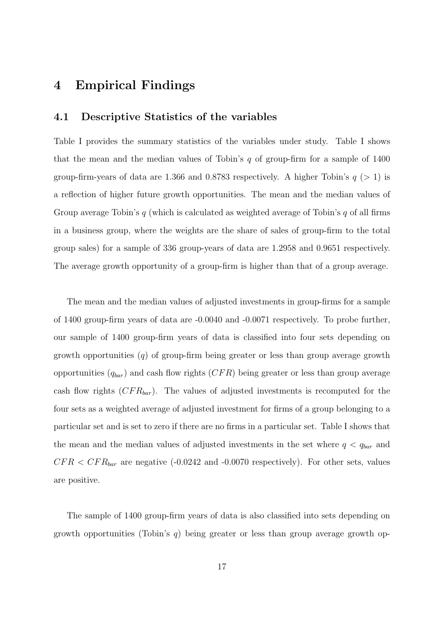# 4 Empirical Findings

#### 4.1 Descriptive Statistics of the variables

Table I provides the summary statistics of the variables under study. Table I shows that the mean and the median values of Tobin's  $q$  of group-firm for a sample of 1400 group-firm-years of data are 1.366 and 0.8783 respectively. A higher Tobin's  $q > 1$  is a reflection of higher future growth opportunities. The mean and the median values of Group average Tobin's q (which is calculated as weighted average of Tobin's q of all firms in a business group, where the weights are the share of sales of group-firm to the total group sales) for a sample of 336 group-years of data are 1.2958 and 0.9651 respectively. The average growth opportunity of a group-firm is higher than that of a group average.

The mean and the median values of adjusted investments in group-firms for a sample of 1400 group-firm years of data are -0.0040 and -0.0071 respectively. To probe further, our sample of 1400 group-firm years of data is classified into four sets depending on growth opportunities  $(q)$  of group-firm being greater or less than group average growth opportunities  $(q_{bar})$  and cash flow rights  $(CFR)$  being greater or less than group average cash flow rights  $(CFR_{bar})$ . The values of adjusted investments is recomputed for the four sets as a weighted average of adjusted investment for firms of a group belonging to a particular set and is set to zero if there are no firms in a particular set. Table I shows that the mean and the median values of adjusted investments in the set where  $q < q_{bar}$  and  $CFR < CFR_{bar}$  are negative (-0.0242 and -0.0070 respectively). For other sets, values are positive.

The sample of 1400 group-firm years of data is also classified into sets depending on growth opportunities (Tobin's q) being greater or less than group average growth op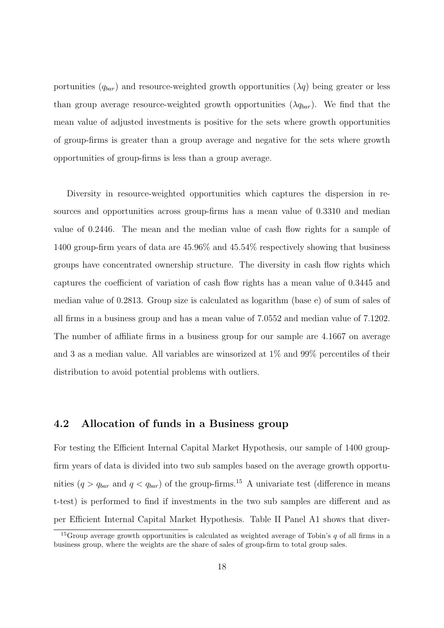portunities  $(q_{bar})$  and resource-weighted growth opportunities  $(\lambda q)$  being greater or less than group average resource-weighted growth opportunities  $(\lambda q_{bar})$ . We find that the mean value of adjusted investments is positive for the sets where growth opportunities of group-firms is greater than a group average and negative for the sets where growth opportunities of group-firms is less than a group average.

Diversity in resource-weighted opportunities which captures the dispersion in resources and opportunities across group-firms has a mean value of 0.3310 and median value of 0.2446. The mean and the median value of cash flow rights for a sample of 1400 group-firm years of data are 45.96% and 45.54% respectively showing that business groups have concentrated ownership structure. The diversity in cash flow rights which captures the coefficient of variation of cash flow rights has a mean value of 0.3445 and median value of 0.2813. Group size is calculated as logarithm (base e) of sum of sales of all firms in a business group and has a mean value of 7.0552 and median value of 7.1202. The number of affiliate firms in a business group for our sample are 4.1667 on average and 3 as a median value. All variables are winsorized at 1% and 99% percentiles of their distribution to avoid potential problems with outliers.

#### 4.2 Allocation of funds in a Business group

For testing the Efficient Internal Capital Market Hypothesis, our sample of 1400 groupfirm years of data is divided into two sub samples based on the average growth opportunities  $(q > q_{bar}$  and  $q < q_{bar}$ ) of the group-firms.<sup>15</sup> A univariate test (difference in means t-test) is performed to find if investments in the two sub samples are different and as per Efficient Internal Capital Market Hypothesis. Table II Panel A1 shows that diver-

<sup>&</sup>lt;sup>15</sup>Group average growth opportunities is calculated as weighted average of Tobin's q of all firms in a business group, where the weights are the share of sales of group-firm to total group sales.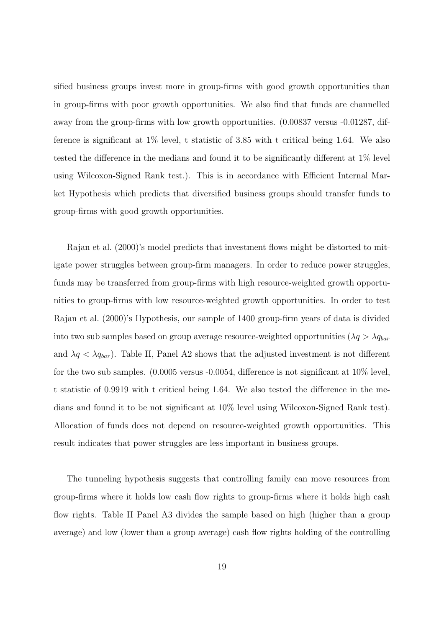sified business groups invest more in group-firms with good growth opportunities than in group-firms with poor growth opportunities. We also find that funds are channelled away from the group-firms with low growth opportunities. (0.00837 versus -0.01287, difference is significant at 1% level, t statistic of 3.85 with t critical being 1.64. We also tested the difference in the medians and found it to be significantly different at 1% level using Wilcoxon-Signed Rank test.). This is in accordance with Efficient Internal Market Hypothesis which predicts that diversified business groups should transfer funds to group-firms with good growth opportunities.

Rajan et al. (2000)'s model predicts that investment flows might be distorted to mitigate power struggles between group-firm managers. In order to reduce power struggles, funds may be transferred from group-firms with high resource-weighted growth opportunities to group-firms with low resource-weighted growth opportunities. In order to test Rajan et al. (2000)'s Hypothesis, our sample of 1400 group-firm years of data is divided into two sub samples based on group average resource-weighted opportunities ( $\lambda q > \lambda q_{bar}$ and  $\lambda q < \lambda q_{bar}$ ). Table II, Panel A2 shows that the adjusted investment is not different for the two sub samples. (0.0005 versus -0.0054, difference is not significant at 10% level, t statistic of 0.9919 with t critical being 1.64. We also tested the difference in the medians and found it to be not significant at 10% level using Wilcoxon-Signed Rank test). Allocation of funds does not depend on resource-weighted growth opportunities. This result indicates that power struggles are less important in business groups.

The tunneling hypothesis suggests that controlling family can move resources from group-firms where it holds low cash flow rights to group-firms where it holds high cash flow rights. Table II Panel A3 divides the sample based on high (higher than a group average) and low (lower than a group average) cash flow rights holding of the controlling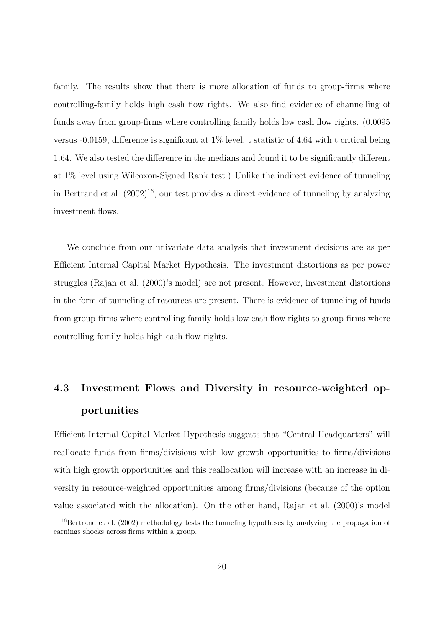family. The results show that there is more allocation of funds to group-firms where controlling-family holds high cash flow rights. We also find evidence of channelling of funds away from group-firms where controlling family holds low cash flow rights.  $(0.0095)$ versus -0.0159, difference is significant at 1% level, t statistic of 4.64 with t critical being 1.64. We also tested the difference in the medians and found it to be significantly different at 1% level using Wilcoxon-Signed Rank test.) Unlike the indirect evidence of tunneling in Bertrand et al.  $(2002)^{16}$ , our test provides a direct evidence of tunneling by analyzing investment flows.

We conclude from our univariate data analysis that investment decisions are as per Efficient Internal Capital Market Hypothesis. The investment distortions as per power struggles (Rajan et al. (2000)'s model) are not present. However, investment distortions in the form of tunneling of resources are present. There is evidence of tunneling of funds from group-firms where controlling-family holds low cash flow rights to group-firms where controlling-family holds high cash flow rights.

# 4.3 Investment Flows and Diversity in resource-weighted opportunities

Efficient Internal Capital Market Hypothesis suggests that "Central Headquarters" will reallocate funds from firms/divisions with low growth opportunities to firms/divisions with high growth opportunities and this reallocation will increase with an increase in diversity in resource-weighted opportunities among firms/divisions (because of the option value associated with the allocation). On the other hand, Rajan et al. (2000)'s model

<sup>&</sup>lt;sup>16</sup>Bertrand et al. (2002) methodology tests the tunneling hypotheses by analyzing the propagation of earnings shocks across firms within a group.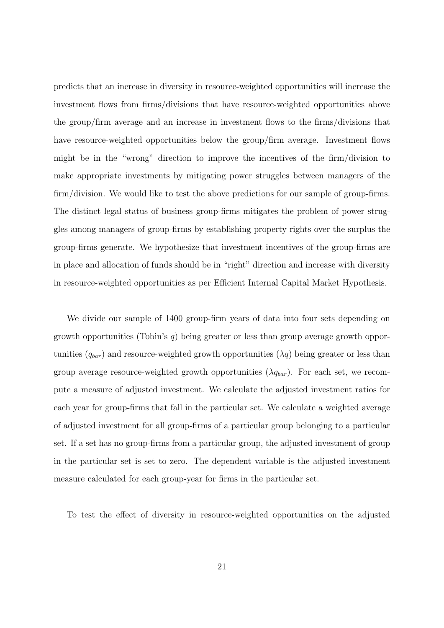predicts that an increase in diversity in resource-weighted opportunities will increase the investment flows from firms/divisions that have resource-weighted opportunities above the group/firm average and an increase in investment flows to the firms/divisions that have resource-weighted opportunities below the group/firm average. Investment flows might be in the "wrong" direction to improve the incentives of the firm/division to make appropriate investments by mitigating power struggles between managers of the firm/division. We would like to test the above predictions for our sample of group-firms. The distinct legal status of business group-firms mitigates the problem of power struggles among managers of group-firms by establishing property rights over the surplus the group-firms generate. We hypothesize that investment incentives of the group-firms are in place and allocation of funds should be in "right" direction and increase with diversity in resource-weighted opportunities as per Efficient Internal Capital Market Hypothesis.

We divide our sample of 1400 group-firm years of data into four sets depending on growth opportunities (Tobin's  $q$ ) being greater or less than group average growth opportunities  $(q_{bar})$  and resource-weighted growth opportunities  $(\lambda q)$  being greater or less than group average resource-weighted growth opportunities  $(\lambda q_{bar})$ . For each set, we recompute a measure of adjusted investment. We calculate the adjusted investment ratios for each year for group-firms that fall in the particular set. We calculate a weighted average of adjusted investment for all group-firms of a particular group belonging to a particular set. If a set has no group-firms from a particular group, the adjusted investment of group in the particular set is set to zero. The dependent variable is the adjusted investment measure calculated for each group-year for firms in the particular set.

To test the effect of diversity in resource-weighted opportunities on the adjusted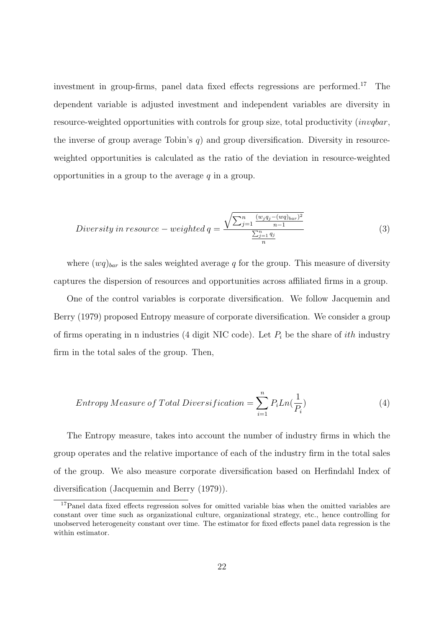investment in group-firms, panel data fixed effects regressions are performed.<sup>17</sup> The dependent variable is adjusted investment and independent variables are diversity in resource-weighted opportunities with controls for group size, total productivity (invqbar, the inverse of group average Tobin's  $q$ ) and group diversification. Diversity in resourceweighted opportunities is calculated as the ratio of the deviation in resource-weighted opportunities in a group to the average  $q$  in a group.

$$
Diversity\ in\ resource-weighted\ q = \frac{\sqrt{\sum_{j=1}^{n} \frac{(w_j q_j - (wq)_{bar})^2}{n-1}}}{\frac{\sum_{j=1}^{n} q_j}{n}}
$$
\n
$$
\tag{3}
$$

where  $(wq)_{bar}$  is the sales weighted average q for the group. This measure of diversity captures the dispersion of resources and opportunities across affiliated firms in a group.

One of the control variables is corporate diversification. We follow Jacquemin and Berry (1979) proposed Entropy measure of corporate diversification. We consider a group of firms operating in n industries (4 digit NIC code). Let  $P_i$  be the share of *ith* industry firm in the total sales of the group. Then,

$$
Entropy\ Measure\ of\ Total\ Diversification = \sum_{i=1}^{n} P_i Ln(\frac{1}{P_i})
$$
\n(4)

The Entropy measure, takes into account the number of industry firms in which the group operates and the relative importance of each of the industry firm in the total sales of the group. We also measure corporate diversification based on Herfindahl Index of diversification (Jacquemin and Berry (1979)).

<sup>17</sup>Panel data fixed effects regression solves for omitted variable bias when the omitted variables are constant over time such as organizational culture, organizational strategy, etc., hence controlling for unobserved heterogeneity constant over time. The estimator for fixed effects panel data regression is the within estimator.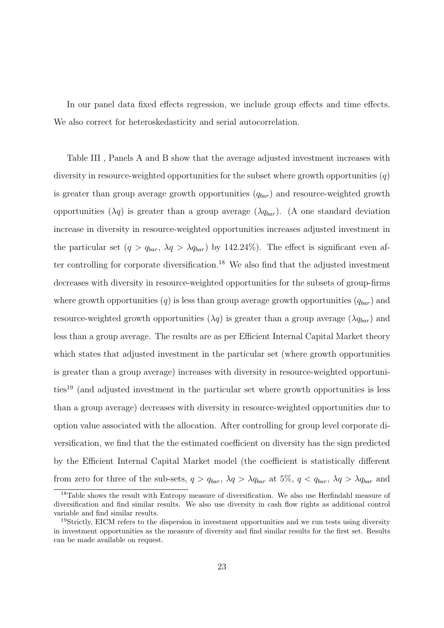In our panel data fixed effects regression, we include group effects and time effects. We also correct for heteroskedasticity and serial autocorrelation.

Table III , Panels A and B show that the average adjusted investment increases with diversity in resource-weighted opportunities for the subset where growth opportunities  $(q)$ is greater than group average growth opportunities  $(q_{bar})$  and resource-weighted growth opportunities  $(\lambda q)$  is greater than a group average  $(\lambda q_{bar})$ . (A one standard deviation increase in diversity in resource-weighted opportunities increases adjusted investment in the particular set  $(q > q_{bar}, \lambda q > \lambda q_{bar})$  by 142.24%). The effect is significant even after controlling for corporate diversification.<sup>18</sup> We also find that the adjusted investment decreases with diversity in resource-weighted opportunities for the subsets of group-firms where growth opportunities  $(q)$  is less than group average growth opportunities  $(q_{bar})$  and resource-weighted growth opportunities  $(\lambda q)$  is greater than a group average  $(\lambda q_{bar})$  and less than a group average. The results are as per Efficient Internal Capital Market theory which states that adjusted investment in the particular set (where growth opportunities is greater than a group average) increases with diversity in resource-weighted opportunities<sup>19</sup> (and adjusted investment in the particular set where growth opportunities is less than a group average) decreases with diversity in resource-weighted opportunities due to option value associated with the allocation. After controlling for group level corporate diversification, we find that the the estimated coefficient on diversity has the sign predicted by the Efficient Internal Capital Market model (the coefficient is statistically different from zero for three of the sub-sets,  $q > q_{bar}$ ,  $\lambda q > \lambda q_{bar}$  at 5%,  $q < q_{bar}$ ,  $\lambda q > \lambda q_{bar}$  and

<sup>&</sup>lt;sup>18</sup>Table shows the result with Entropy measure of diversification. We also use Herfindahl measure of diversification and find similar results. We also use diversity in cash flow rights as additional control variable and find similar results.

<sup>&</sup>lt;sup>19</sup>Strictly, EICM refers to the dispersion in investment opportunities and we run tests using diversity in investment opportunities as the measure of diversity and find similar results for the first set. Results can be made available on request.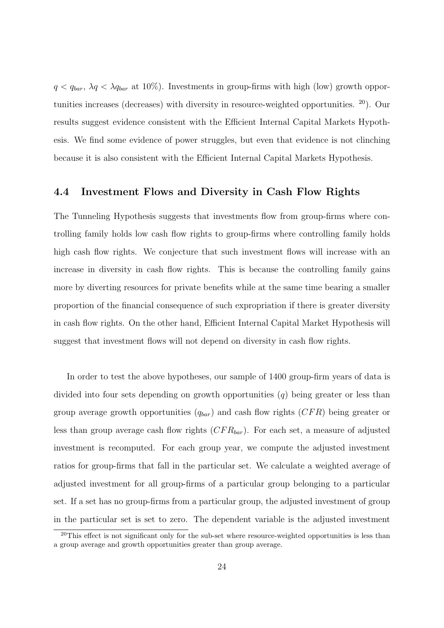$q < q_{bar}$ ,  $\lambda q < \lambda q_{bar}$  at 10%). Investments in group-firms with high (low) growth opportunities increases (decreases) with diversity in resource-weighted opportunities. <sup>20</sup>). Our results suggest evidence consistent with the Efficient Internal Capital Markets Hypothesis. We find some evidence of power struggles, but even that evidence is not clinching because it is also consistent with the Efficient Internal Capital Markets Hypothesis.

#### 4.4 Investment Flows and Diversity in Cash Flow Rights

The Tunneling Hypothesis suggests that investments flow from group-firms where controlling family holds low cash flow rights to group-firms where controlling family holds high cash flow rights. We conjecture that such investment flows will increase with an increase in diversity in cash flow rights. This is because the controlling family gains more by diverting resources for private benefits while at the same time bearing a smaller proportion of the financial consequence of such expropriation if there is greater diversity in cash flow rights. On the other hand, Efficient Internal Capital Market Hypothesis will suggest that investment flows will not depend on diversity in cash flow rights.

In order to test the above hypotheses, our sample of 1400 group-firm years of data is divided into four sets depending on growth opportunities  $(q)$  being greater or less than group average growth opportunities  $(q_{bar})$  and cash flow rights  $(CFR)$  being greater or less than group average cash flow rights  $(CFR_{bar})$ . For each set, a measure of adjusted investment is recomputed. For each group year, we compute the adjusted investment ratios for group-firms that fall in the particular set. We calculate a weighted average of adjusted investment for all group-firms of a particular group belonging to a particular set. If a set has no group-firms from a particular group, the adjusted investment of group in the particular set is set to zero. The dependent variable is the adjusted investment

<sup>&</sup>lt;sup>20</sup>This effect is not significant only for the sub-set where resource-weighted opportunities is less than a group average and growth opportunities greater than group average.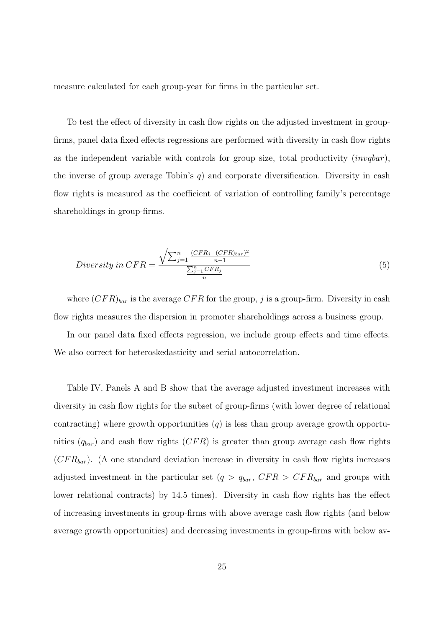measure calculated for each group-year for firms in the particular set.

To test the effect of diversity in cash flow rights on the adjusted investment in groupfirms, panel data fixed effects regressions are performed with diversity in cash flow rights as the independent variable with controls for group size, total productivity (invqbar), the inverse of group average Tobin's q) and corporate diversification. Diversity in cash flow rights is measured as the coefficient of variation of controlling family's percentage shareholdings in group-firms.

$$
Diversity\ in\ CFR = \frac{\sqrt{\sum_{j=1}^{n} \frac{(CFR_j - (CFR)_{bar})^2}{n-1}}}{\frac{\sum_{j=1}^{n} CFR_j}{n}}
$$
\n
$$
\tag{5}
$$

where  $(CFR)_{bar}$  is the average  $CFR$  for the group, j is a group-firm. Diversity in cash flow rights measures the dispersion in promoter shareholdings across a business group.

In our panel data fixed effects regression, we include group effects and time effects. We also correct for heteroskedasticity and serial autocorrelation.

Table IV, Panels A and B show that the average adjusted investment increases with diversity in cash flow rights for the subset of group-firms (with lower degree of relational contracting) where growth opportunities  $(q)$  is less than group average growth opportunities  $(q_{bar})$  and cash flow rights  $(CFR)$  is greater than group average cash flow rights  $(CFR_{bar})$ . (A one standard deviation increase in diversity in cash flow rights increases adjusted investment in the particular set  $(q > q_{bar}, CFR > CFR_{bar}$  and groups with lower relational contracts) by 14.5 times). Diversity in cash flow rights has the effect of increasing investments in group-firms with above average cash flow rights (and below average growth opportunities) and decreasing investments in group-firms with below av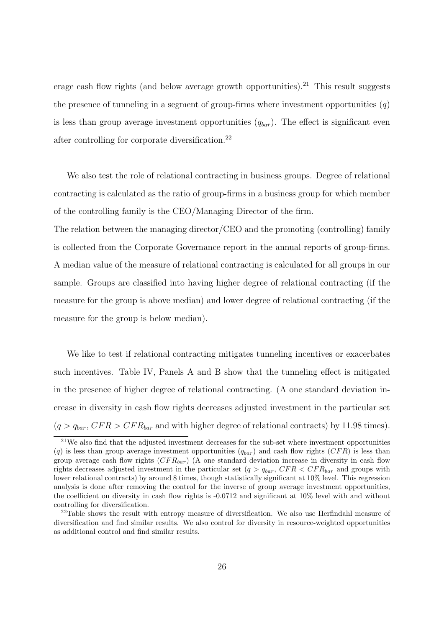erage cash flow rights (and below average growth opportunities).<sup>21</sup> This result suggests the presence of tunneling in a segment of group-firms where investment opportunities  $(q)$ is less than group average investment opportunities  $(q_{bar})$ . The effect is significant even after controlling for corporate diversification.<sup>22</sup>

We also test the role of relational contracting in business groups. Degree of relational contracting is calculated as the ratio of group-firms in a business group for which member of the controlling family is the CEO/Managing Director of the firm.

The relation between the managing director/CEO and the promoting (controlling) family is collected from the Corporate Governance report in the annual reports of group-firms. A median value of the measure of relational contracting is calculated for all groups in our sample. Groups are classified into having higher degree of relational contracting (if the measure for the group is above median) and lower degree of relational contracting (if the measure for the group is below median).

We like to test if relational contracting mitigates tunneling incentives or exacerbates such incentives. Table IV, Panels A and B show that the tunneling effect is mitigated in the presence of higher degree of relational contracting. (A one standard deviation increase in diversity in cash flow rights decreases adjusted investment in the particular set  $(q > q_{bar}, CFR > CFR_{bar}$  and with higher degree of relational contracts) by 11.98 times).

 $21$ We also find that the adjusted investment decreases for the sub-set where investment opportunities (q) is less than group average investment opportunities  $(q_{bar})$  and cash flow rights (CFR) is less than group average cash flow rights  $(CFR_{bar})$  (A one standard deviation increase in diversity in cash flow rights decreases adjusted investment in the particular set (q >  $q_{bar}$ , CFR < CFR<sub>bar</sub> and groups with lower relational contracts) by around 8 times, though statistically significant at 10% level. This regression analysis is done after removing the control for the inverse of group average investment opportunities, the coefficient on diversity in cash flow rights is -0.0712 and significant at 10% level with and without controlling for diversification.

 $22$ Table shows the result with entropy measure of diversification. We also use Herfindahl measure of diversification and find similar results. We also control for diversity in resource-weighted opportunities as additional control and find similar results.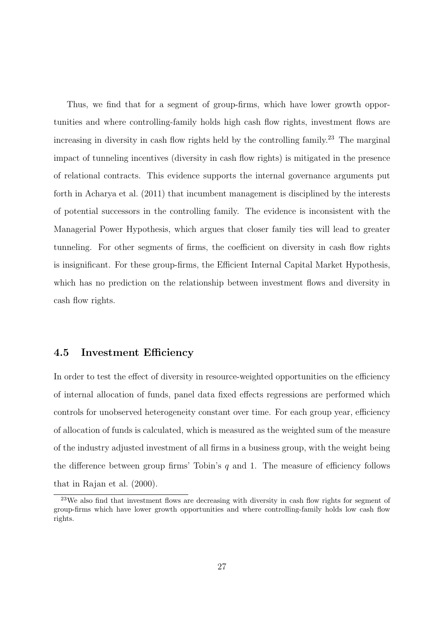Thus, we find that for a segment of group-firms, which have lower growth opportunities and where controlling-family holds high cash flow rights, investment flows are increasing in diversity in cash flow rights held by the controlling family.<sup>23</sup> The marginal impact of tunneling incentives (diversity in cash flow rights) is mitigated in the presence of relational contracts. This evidence supports the internal governance arguments put forth in Acharya et al. (2011) that incumbent management is disciplined by the interests of potential successors in the controlling family. The evidence is inconsistent with the Managerial Power Hypothesis, which argues that closer family ties will lead to greater tunneling. For other segments of firms, the coefficient on diversity in cash flow rights is insignificant. For these group-firms, the Efficient Internal Capital Market Hypothesis, which has no prediction on the relationship between investment flows and diversity in cash flow rights.

#### 4.5 Investment Efficiency

In order to test the effect of diversity in resource-weighted opportunities on the efficiency of internal allocation of funds, panel data fixed effects regressions are performed which controls for unobserved heterogeneity constant over time. For each group year, efficiency of allocation of funds is calculated, which is measured as the weighted sum of the measure of the industry adjusted investment of all firms in a business group, with the weight being the difference between group firms' Tobin's  $q$  and 1. The measure of efficiency follows that in Rajan et al. (2000).

<sup>&</sup>lt;sup>23</sup>We also find that investment flows are decreasing with diversity in cash flow rights for segment of group-firms which have lower growth opportunities and where controlling-family holds low cash flow rights.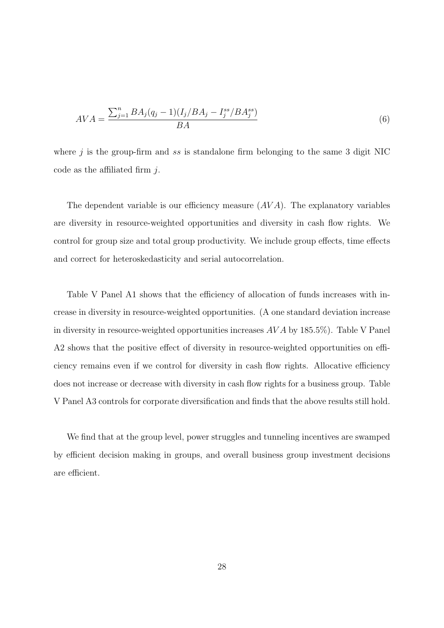$$
AVA = \frac{\sum_{j=1}^{n} BA_j (q_j - 1)(I_j / BA_j - I_j^{ss} / BA_j^{ss})}{BA}
$$
\n(6)

where  $j$  is the group-firm and ss is standalone firm belonging to the same 3 digit NIC code as the affiliated firm  $i$ .

The dependent variable is our efficiency measure  $(AVA)$ . The explanatory variables are diversity in resource-weighted opportunities and diversity in cash flow rights. We control for group size and total group productivity. We include group effects, time effects and correct for heteroskedasticity and serial autocorrelation.

Table V Panel A1 shows that the efficiency of allocation of funds increases with increase in diversity in resource-weighted opportunities. (A one standard deviation increase in diversity in resource-weighted opportunities increases  $AVA$  by 185.5%). Table V Panel A2 shows that the positive effect of diversity in resource-weighted opportunities on efficiency remains even if we control for diversity in cash flow rights. Allocative efficiency does not increase or decrease with diversity in cash flow rights for a business group. Table V Panel A3 controls for corporate diversification and finds that the above results still hold.

We find that at the group level, power struggles and tunneling incentives are swamped by efficient decision making in groups, and overall business group investment decisions are efficient.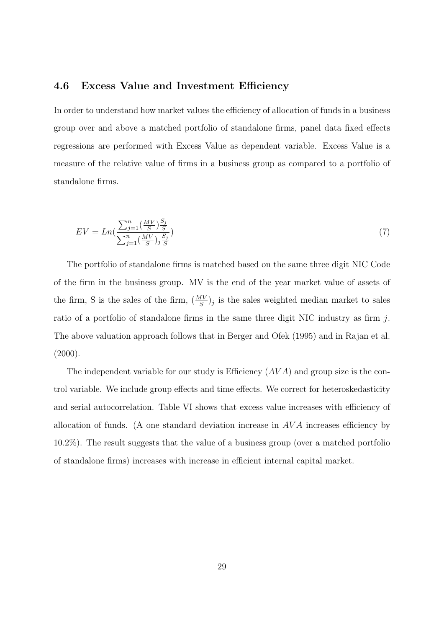#### 4.6 Excess Value and Investment Efficiency

In order to understand how market values the efficiency of allocation of funds in a business group over and above a matched portfolio of standalone firms, panel data fixed effects regressions are performed with Excess Value as dependent variable. Excess Value is a measure of the relative value of firms in a business group as compared to a portfolio of standalone firms.

$$
EV = Ln\left(\frac{\sum_{j=1}^{n} \left(\frac{MV}{S}\right) \frac{S_j}{S}}{\sum_{j=1}^{n} \left(\frac{MV}{S}\right) j \frac{S_j}{S}}\right)
$$
\n
$$
\tag{7}
$$

The portfolio of standalone firms is matched based on the same three digit NIC Code of the firm in the business group. MV is the end of the year market value of assets of the firm, S is the sales of the firm,  $\left(\frac{MV}{S}\right)_j$  is the sales weighted median market to sales ratio of a portfolio of standalone firms in the same three digit NIC industry as firm j. The above valuation approach follows that in Berger and Ofek (1995) and in Rajan et al.  $(2000).$ 

The independent variable for our study is Efficiency  $(AVA)$  and group size is the control variable. We include group effects and time effects. We correct for heteroskedasticity and serial autocorrelation. Table VI shows that excess value increases with efficiency of allocation of funds. (A one standard deviation increase in  $AVA$  increases efficiency by 10.2%). The result suggests that the value of a business group (over a matched portfolio of standalone firms) increases with increase in efficient internal capital market.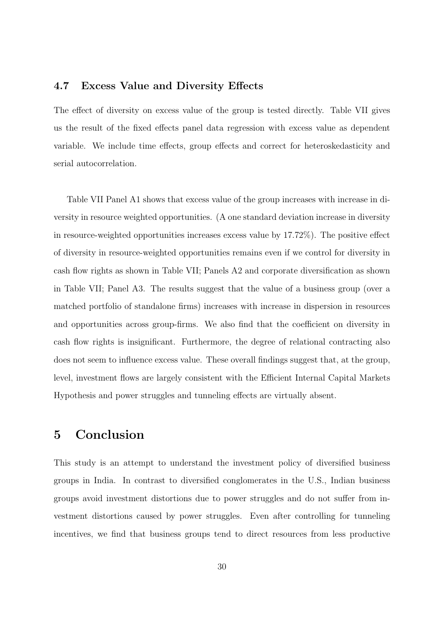#### 4.7 Excess Value and Diversity Effects

The effect of diversity on excess value of the group is tested directly. Table VII gives us the result of the fixed effects panel data regression with excess value as dependent variable. We include time effects, group effects and correct for heteroskedasticity and serial autocorrelation.

Table VII Panel A1 shows that excess value of the group increases with increase in diversity in resource weighted opportunities. (A one standard deviation increase in diversity in resource-weighted opportunities increases excess value by 17.72%). The positive effect of diversity in resource-weighted opportunities remains even if we control for diversity in cash flow rights as shown in Table VII; Panels A2 and corporate diversification as shown in Table VII; Panel A3. The results suggest that the value of a business group (over a matched portfolio of standalone firms) increases with increase in dispersion in resources and opportunities across group-firms. We also find that the coefficient on diversity in cash flow rights is insignificant. Furthermore, the degree of relational contracting also does not seem to influence excess value. These overall findings suggest that, at the group, level, investment flows are largely consistent with the Efficient Internal Capital Markets Hypothesis and power struggles and tunneling effects are virtually absent.

# 5 Conclusion

This study is an attempt to understand the investment policy of diversified business groups in India. In contrast to diversified conglomerates in the U.S., Indian business groups avoid investment distortions due to power struggles and do not suffer from investment distortions caused by power struggles. Even after controlling for tunneling incentives, we find that business groups tend to direct resources from less productive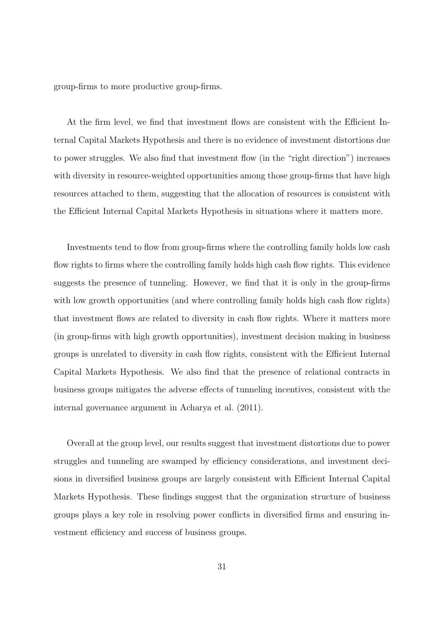group-firms to more productive group-firms.

At the firm level, we find that investment flows are consistent with the Efficient Internal Capital Markets Hypothesis and there is no evidence of investment distortions due to power struggles. We also find that investment flow (in the "right direction") increases with diversity in resource-weighted opportunities among those group-firms that have high resources attached to them, suggesting that the allocation of resources is consistent with the Efficient Internal Capital Markets Hypothesis in situations where it matters more.

Investments tend to flow from group-firms where the controlling family holds low cash flow rights to firms where the controlling family holds high cash flow rights. This evidence suggests the presence of tunneling. However, we find that it is only in the group-firms with low growth opportunities (and where controlling family holds high cash flow rights) that investment flows are related to diversity in cash flow rights. Where it matters more (in group-firms with high growth opportunities), investment decision making in business groups is unrelated to diversity in cash flow rights, consistent with the Efficient Internal Capital Markets Hypothesis. We also find that the presence of relational contracts in business groups mitigates the adverse effects of tunneling incentives, consistent with the internal governance argument in Acharya et al. (2011).

Overall at the group level, our results suggest that investment distortions due to power struggles and tunneling are swamped by efficiency considerations, and investment decisions in diversified business groups are largely consistent with Efficient Internal Capital Markets Hypothesis. These findings suggest that the organization structure of business groups plays a key role in resolving power conflicts in diversified firms and ensuring investment efficiency and success of business groups.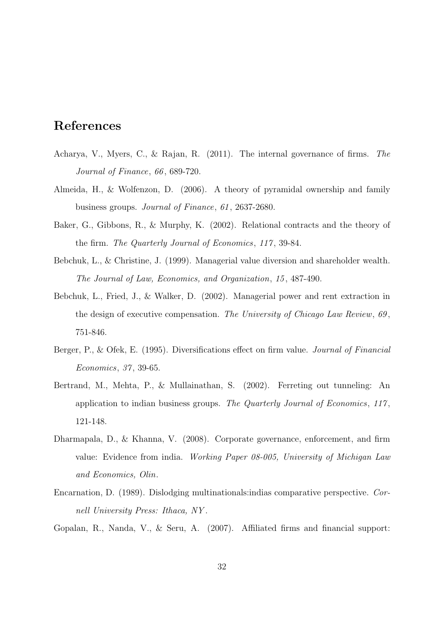# References

- Acharya, V., Myers, C., & Rajan, R. (2011). The internal governance of firms. The Journal of Finance, 66 , 689-720.
- Almeida, H., & Wolfenzon, D. (2006). A theory of pyramidal ownership and family business groups. Journal of Finance, 61 , 2637-2680.
- Baker, G., Gibbons, R., & Murphy, K. (2002). Relational contracts and the theory of the firm. The Quarterly Journal of Economics, 117, 39-84.
- Bebchuk, L., & Christine, J. (1999). Managerial value diversion and shareholder wealth. The Journal of Law, Economics, and Organization, 15 , 487-490.
- Bebchuk, L., Fried, J., & Walker, D. (2002). Managerial power and rent extraction in the design of executive compensation. The University of Chicago Law Review,  $69$ , 751-846.
- Berger, P., & Ofek, E. (1995). Diversifications effect on firm value. *Journal of Financial* Economics, 37 , 39-65.
- Bertrand, M., Mehta, P., & Mullainathan, S. (2002). Ferreting out tunneling: An application to indian business groups. The Quarterly Journal of Economics,  $117$ , 121-148.
- Dharmapala, D., & Khanna, V. (2008). Corporate governance, enforcement, and firm value: Evidence from india. Working Paper 08-005, University of Michigan Law and Economics, Olin.
- Encarnation, D. (1989). Dislodging multinationals:indias comparative perspective. Cornell University Press: Ithaca, NY .

Gopalan, R., Nanda, V., & Seru, A. (2007). Affiliated firms and financial support: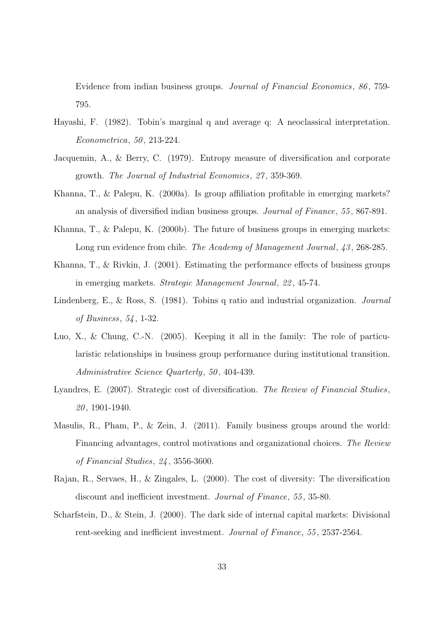Evidence from indian business groups. Journal of Financial Economics, 86 , 759- 795.

- Hayashi, F. (1982). Tobin's marginal q and average q: A neoclassical interpretation. Econometrica, 50 , 213-224.
- Jacquemin, A., & Berry, C. (1979). Entropy measure of diversification and corporate growth. The Journal of Industrial Economics, 27 , 359-369.
- Khanna, T., & Palepu, K. (2000a). Is group affiliation profitable in emerging markets? an analysis of diversified indian business groups. Journal of Finance, 55 , 867-891.
- Khanna, T., & Palepu, K. (2000b). The future of business groups in emerging markets: Long run evidence from chile. The Academy of Management Journal, 43, 268-285.
- Khanna, T., & Rivkin, J. (2001). Estimating the performance effects of business groups in emerging markets. Strategic Management Journal, 22 , 45-74.
- Lindenberg, E., & Ross, S. (1981). Tobins q ratio and industrial organization. Journal of Business, 54 , 1-32.
- Luo, X., & Chung, C.-N. (2005). Keeping it all in the family: The role of particularistic relationships in business group performance during institutional transition. Administrative Science Quarterly, 50, 404-439.
- Lyandres, E. (2007). Strategic cost of diversification. The Review of Financial Studies, 20 , 1901-1940.
- Masulis, R., Pham, P., & Zein, J. (2011). Family business groups around the world: Financing advantages, control motivations and organizational choices. The Review of Financial Studies, 24 , 3556-3600.
- Rajan, R., Servaes, H., & Zingales, L. (2000). The cost of diversity: The diversification discount and inefficient investment. Journal of Finance, 55, 35-80.
- Scharfstein, D., & Stein, J. (2000). The dark side of internal capital markets: Divisional rent-seeking and inefficient investment. Journal of Finance, 55 , 2537-2564.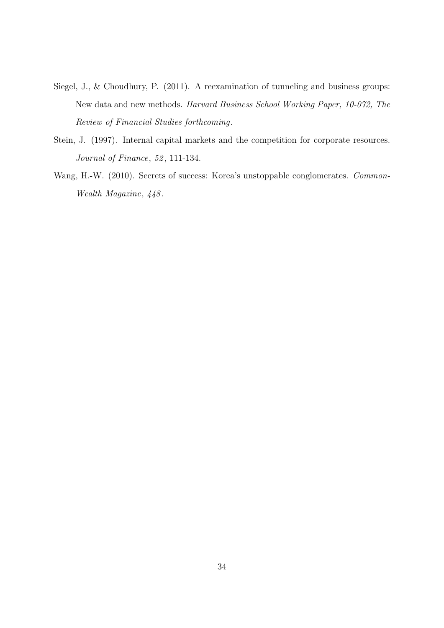- Siegel, J., & Choudhury, P. (2011). A reexamination of tunneling and business groups: New data and new methods. Harvard Business School Working Paper, 10-072, The Review of Financial Studies forthcoming.
- Stein, J. (1997). Internal capital markets and the competition for corporate resources. Journal of Finance, 52, 111-134.
- Wang, H.-W. (2010). Secrets of success: Korea's unstoppable conglomerates. *Common*-Wealth Magazine,  $448$ .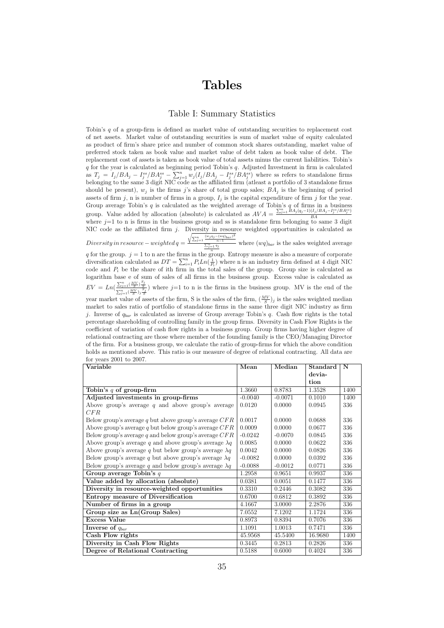# Tables

#### Table I: Summary Statistics

Tobin's  $q$  of a group-firm is defined as market value of outstanding securities to replacement cost of net assets. Market value of outstanding securities is sum of market value of equity calculated as product of firm's share price and number of common stock shares outstanding, market value of preferred stock taken as book value and market value of debt taken as book value of debt. The replacement cost of assets is taken as book value of total assets minus the current liabilities. Tobin's  $q$  for the year is calculated as beginning period Tobin's  $q$ . Adjusted Investment in firm is calculated as  $T_j = I_j/BA_j - I_j^{ss}/BA_j^{ss} - \sum_{j=1}^n w_j(I_j/BA_j - I_j^{ss}/BA_j^{ss})$  where ss refers to standalone firms belonging to the same 3 digit NIC code as the affiliated firm (atleast a portfolio of 3 standalone firms should be present),  $w_j$  is the firms j's share of total group sales;  $\overrightarrow{BA}_j$  is the beginning of period assets of firm j, n is number of firms in a group,  $I_j$  is the capital expenditure of firm j for the year. Group average Tobin's  $q$  is calculated as the weighted average of Tobin's  $q$  of firms in a business group. Value added by allocation (absolute) is calculated as  $AVA = \frac{\sum_{j=1}^{n} \hat{B}A_j(q_j-1)(I_j/BA_j-I_j^{ss}/BA_j^{ss})}{BA}$ BA group. Value added by allocation (absolute) is calculated as  $AVA = \frac{BA}{BA}$  where  $j=1$  to n is firms in the business group and ss is standalone firm belonging to same 3 digit NIC code as the affiliated firm  $j$ . Diversity in resource weighted opportunities is calculated as

 $Diversity in resource-weighted \textit{q} = \frac{\sqrt{\sum_{j=1}^{n} \frac{(w_j q_j - (wq)_{bar})^2}{n-1}}}{\sum_{j=1}^{n} q_j}$  where  $(wq)_{bar}$  is the sales weighted average

q for the group.  $j = 1$  to n are the firms in the group. Entropy measure is also a measure of corporate diversification calculated as  $DT = \sum_{i=1}^{n} P_i Ln(\frac{1}{P_i})$  where n is an industry firm defined at 4 digit NIC code and  $P_i$  be the share of ith firm in the total sales of the group. Group size is calculated as logarithm base e of sum of sales of all firms in the business group. Excess value is calculated as  $EV = Ln(\frac{\sum_{j=1}^{n}(\frac{MV}{S})\frac{S_j}{S}}{\sum_{j=1}^{n}(\frac{MV}{S})\frac{S_j}{S}})$  where j=1 to n is the firms in the business group. MV is the end of the year market value of assets of the firm, S is the sales of the firm,  $\left(\frac{MV}{S}\right)_j$  is the sales weighted median market to sales ratio of portfolio of standalone firms in the same three digit NIC industry as firm j. Inverse of  $q_{bar}$  is calculated as inverse of Group average Tobin's q. Cash flow rights is the total percentage shareholding of controlling family in the group firms. Diversity in Cash Flow Rights is the coefficient of variation of cash flow rights in a business group. Group firms having higher degree of relational contracting are those where member of the founding family is the CEO/Managing Director of the firm. For a business group, we calculate the ratio of group-firms for which the above condition holds as mentioned above. This ratio is our measure of degree of relational contracting. All data are for years 2001 to 2007.

| Variable                                                      | Mean      | Median    | Standard | N    |
|---------------------------------------------------------------|-----------|-----------|----------|------|
|                                                               |           |           | devia-   |      |
|                                                               |           |           | tion     |      |
| Tobin's $q$ of group-firm                                     | 1.3660    | 0.8783    | 1.3528   | 1400 |
| Adjusted investments in group-firms                           | $-0.0040$ | $-0.0071$ | 0.1010   | 1400 |
| Above group's average $q$ and above group's average           | 0.0120    | 0.0000    | 0.0945   | 336  |
| CFR                                                           |           |           |          |      |
| Below group's average q but above group's average $CFR$       | 0.0017    | 0.0000    | 0.0688   | 336  |
| Above group's average q but below group's average $CFR$       | 0.0009    | 0.0000    | 0.0677   | 336  |
| Below group's average q and below group's average $CFR$       | $-0.0242$ | $-0.0070$ | 0.0845   | 336  |
| Above group's average q and above group's average $\lambda q$ | 0.0085    | 0.0000    | 0.0622   | 336  |
| Above group's average q but below group's average $\lambda q$ | 0.0042    | 0.0000    | 0.0826   | 336  |
| Below group's average q but above group's average $\lambda q$ | $-0.0082$ | 0.0000    | 0.0392   | 336  |
| Below group's average q and below group's average $\lambda q$ | $-0.0088$ | $-0.0012$ | 0.0771   | 336  |
| Group average Tobin's $q$                                     | 1.2958    | 0.9651    | 0.9937   | 336  |
| Value added by allocation (absolute)                          | 0.0381    | 0.0051    | 0.1477   | 336  |
| Diversity in resource-weighted opportunities                  | 0.3310    | 0.2446    | 0.3082   | 336  |
| Entropy measure of Diversification                            | 0.6700    | 0.6812    | 0.3892   | 336  |
| Number of firms in a group                                    | 4.1667    | 3.0000    | 2.2876   | 336  |
| Group size as Ln(Group Sales)                                 | 7.0552    | 7.1202    | 1.1724   | 336  |
| <b>Excess Value</b>                                           | 0.8973    | 0.8394    | 0.7076   | 336  |
| Inverse of $q_{bar}$                                          | 1.1091    | 1.0013    | 0.7471   | 336  |
| Cash Flow rights                                              | 45.9568   | 45.5400   | 16.9680  | 1400 |
| Diversity in Cash Flow Rights                                 | 0.3445    | 0.2813    | 0.2826   | 336  |
| Degree of Relational Contracting                              | 0.5188    | 0.6000    | 0.4024   | 336  |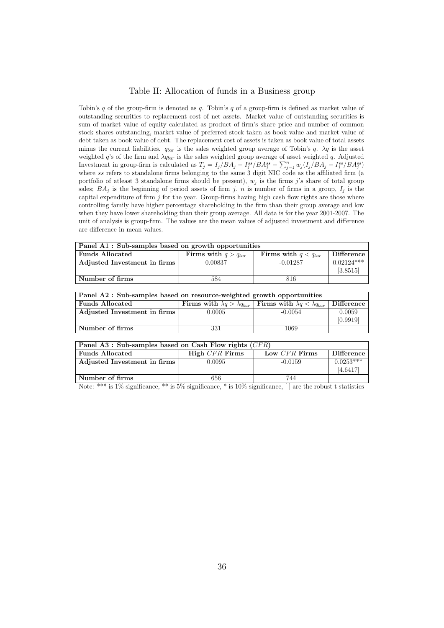#### Table II: Allocation of funds in a Business group

Tobin's  $q$  of the group-firm is denoted as  $q$ . Tobin's  $q$  of a group-firm is defined as market value of outstanding securities to replacement cost of net assets. Market value of outstanding securities is sum of market value of equity calculated as product of firm's share price and number of common stock shares outstanding, market value of preferred stock taken as book value and market value of debt taken as book value of debt. The replacement cost of assets is taken as book value of total assets minus the current liabilities.  $q_{bar}$  is the sales weighted group average of Tobin's q.  $\lambda q$  is the asset weighted  $q$ 's of the firm and  $\lambda q_{bar}$  is the sales weighted group average of asset weighted q. Adjusted Investment in group-firm is calculated as  $T_j = I_j/BA_j - I_j^{ss}/BA_j^{ss} - \sum_{j=1}^n w_j(I_j/BA_j - I_j^{ss}/BA_j^{ss})$ where ss refers to standalone firms belonging to the same 3 digit NIC code as the affiliated firm  $(a)$ portfolio of atleast 3 standalone firms should be present),  $w_j$  is the firms j's share of total group sales;  $BA_j$  is the beginning of period assets of firm j, n is number of firms in a group,  $I_j$  is the capital expenditure of firm  $j$  for the year. Group-firms having high cash flow rights are those where controlling family have higher percentage shareholding in the firm than their group average and low when they have lower shareholding than their group average. All data is for the year 2001-2007. The unit of analysis is group-firm. The values are the mean values of adjusted investment and difference are difference in mean values.

| Panel A1: Sub-samples based on growth opportunities |                          |                          |              |  |
|-----------------------------------------------------|--------------------------|--------------------------|--------------|--|
| <b>Funds Allocated</b>                              | Firms with $q > q_{bar}$ | Firms with $q < q_{bar}$ | Difference   |  |
| Adjusted Investment in firms                        | 0.00837                  | $-0.01287$               | $0.02124***$ |  |
|                                                     |                          |                          | [3.8515]     |  |
| Number of firms                                     | 584                      | 816                      |              |  |

| Panel A2 : Sub-samples based on resource-weighted growth opportunities |        |                                                                                   |            |  |
|------------------------------------------------------------------------|--------|-----------------------------------------------------------------------------------|------------|--|
| <b>Funds Allocated</b>                                                 |        | Firms with $\lambda q > \lambda q_{bar}$ Firms with $\lambda q < \lambda q_{bar}$ | Difference |  |
| Adjusted Investment in firms                                           | 0.0005 | $-0.0054$                                                                         | 0.0059     |  |
|                                                                        |        |                                                                                   | [0.9919]   |  |
| Number of firms                                                        | 331    | 1069                                                                              |            |  |

| Panel A3 : Sub-samples based on Cash Flow rights $(CFR)$ |                |               |                   |
|----------------------------------------------------------|----------------|---------------|-------------------|
| Funds Allocated                                          | High CFR Firms | Low CFR Firms | <b>Difference</b> |
| Adjusted Investment in firms                             | 0.0095         | $-0.0159$     | $0.0253***$       |
|                                                          |                |               | [4.6417]          |
| Number of firms                                          | 656            | 744           |                   |

Note: \*\*\* is 1% significance, \*\* is 5% significance, \* is 10% significance,  $\lceil \rceil$  are the robust t statistics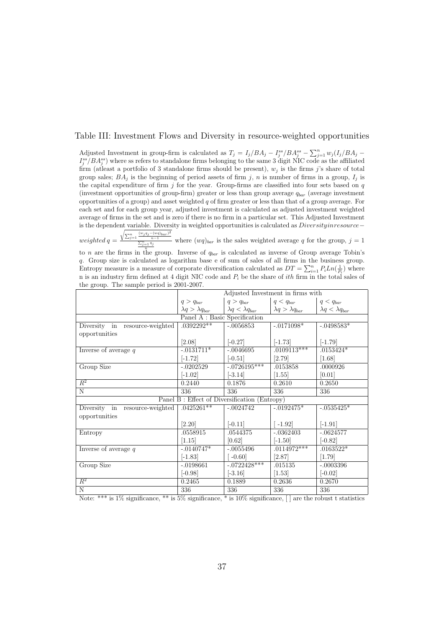#### Table III: Investment Flows and Diversity in resource-weighted opportunities

Adjusted Investment in group-firm is calculated as  $T_j = I_j/BA_j - I_j^{ss}/BA_j^{ss} - \sum_{j=1}^n w_j(I_j/BA_j - I_j^{ss}/BA_j^{ss})$  $I_j^{ss}/BA_j^{ss}$ ) where ss refers to standalone firms belonging to the same 3 digit NIC code as the affiliated firm (at least a portfolio of 3 standalone firms should be present),  $w_j$  is the firms j's share of total group sales;  $BA_j$  is the beginning of period assets of firm j, n is number of firms in a group,  $I_j$  is the capital expenditure of firm  $j$  for the year. Group-firms are classified into four sets based on  $q$ (investment opportunities of group-firm) greater or less than group average  $q_{bar}$  (average investment opportunities of a group) and asset weighted  $q$  of firm greater or less than that of a group average. For each set and for each group year, adjusted investment is calculated as adjusted investment weighted average of firms in the set and is zero if there is no firm in a particular set. This Adjusted Investment is the dependent variable. Diversity in weighted opportunities is calculated as Diversity inresource−  $weighted q = \frac{\sqrt{\sum_{j=1}^{n} \frac{(w_j q_j - (wq)_{bar})^2}{n-1}}{\frac{\sum_{j=1}^{n} q_j}{n}}$  where  $(wq)_{bar}$  is the sales weighted average q for the group,  $j = 1$ 

to n are the firms in the group. Inverse of  $q_{bar}$  is calculated as inverse of Group average Tobin's q. Group size is calculated as logarithm base e of sum of sales of all firms in the business group. Entropy measure is a measure of corporate diversification calculated as  $DT = \sum_{i=1}^{n} P_i Ln(\frac{1}{P_i})$  where n is an industry firm defined at 4 digit NIC code and  $P_i$  be the share of *ith* firm in the total sales of the group. The sample period is 2001-2007.

|                                |                               | Adjusted Investment in firms with            |                               |                               |
|--------------------------------|-------------------------------|----------------------------------------------|-------------------------------|-------------------------------|
|                                | $q > q_{bar}$                 | $q > q_{bar}$                                | $q < q_{bar}$                 | $q < q_{bar}$                 |
|                                | $\lambda q > \lambda q_{bar}$ | $\lambda q < \lambda q_{bar}$                | $\lambda q > \lambda q_{bar}$ | $\lambda q < \lambda q_{bar}$ |
|                                | Panel A : Basic Specification |                                              |                               |                               |
| Diversity in resource-weighted | $.0392292**$                  | $-.0056853$                                  | $-.0171098*$                  | $-.0498583*$                  |
| opportunities                  |                               |                                              |                               |                               |
|                                | [2.08]                        | $[-0.27]$                                    | $[-1.73]$                     | $[-1.79]$                     |
| Inverse of average $q$         | $-.0131711*$                  | $-.0046695$                                  | $.0109113***$                 | $.0153424*$                   |
|                                | $[-1.72]$                     | $[-0.51]$                                    | [2.79]                        | [1.68]                        |
| Group Size                     | $-.0202529$                   | $-.0726195***$                               | .0153858                      | .0000926                      |
|                                | $[-1.02]$                     | $[-3.14]$                                    | [1.55]                        | [0.01]                        |
| $\overline{R^2}$               | 0.2440                        | 0.1876                                       | 0.2610                        | 0.2650                        |
| $\overline{\rm N}$             | 336                           | 336                                          | 336                           | 336                           |
|                                |                               | Panel B: Effect of Diversification (Entropy) |                               |                               |
| Diversity in resource-weighted | $.0425261**$                  | $-.0024742$                                  | $-.0192475*$                  | $-.0535425*$                  |
| opportunities                  |                               |                                              |                               |                               |
|                                | [2.20]                        | $[-0.11]$                                    | $\left[ -1.92\right]$         | $[-1.91]$                     |
| Entropy                        | .0558915                      | .0544375                                     | $-.0362403$                   | $-.0624577$                   |
|                                | $\left[1.15\right]$           | [0.62]                                       | $[-1.50]$                     | $ -0.82 $                     |
| Inverse of average $q$         | $-.0140747*$                  | $-.0055496$                                  | $.0114972***$                 | $.0163522*$                   |
|                                | $[-1.83]$                     | $\left[ -0.60 \right]$                       | [2.87]                        | [1.79]                        |
| Group Size                     | $-.0198661$                   | $-.0722428***$                               | .015135                       | $-.0003396$                   |
|                                | $[-0.98]$                     | $[-3.16]$                                    | [1.53]                        | $[-0.02]$                     |
| $R^2$                          | 0.2465                        | 0.1889                                       | 0.2636                        | 0.2670                        |
| $\overline{\rm N}$             | 336                           | 336                                          | 336                           | 336                           |

Note: \*\*\* is  $1\%$  significance, \*\* is  $5\%$  significance, \* is  $10\%$  significance,  $\lceil \rceil$  are the robust t statistics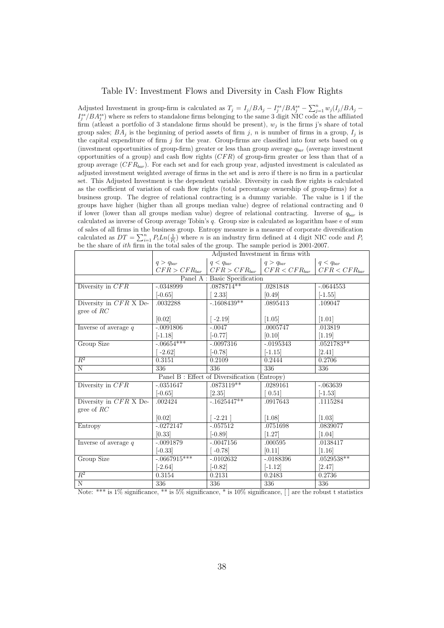#### Table IV: Investment Flows and Diversity in Cash Flow Rights

Adjusted Investment in group-firm is calculated as  $T_j = I_j/BA_j - I_j^{ss}/BA_j^{ss} - \sum_{j=1}^n w_j(I_j/BA_j - I_j^{ss}/BA_j^{ss})$  $I_j^{ss}/BA_j^{ss}$ ) where ss refers to standalone firms belonging to the same 3 digit NIC code as the affiliated firm (at least a portfolio of 3 standalone firms should be present),  $w_j$  is the firms j's share of total group sales;  $BA_j$  is the beginning of period assets of firm j, n is number of firms in a group,  $I_j$  is the capital expenditure of firm j for the year. Group-firms are classified into four sets based on  $q$ (investment opportunities of group-firm) greater or less than group average  $q_{bar}$  (average investment opportunities of a group) and cash flow rights  $(CFR)$  of group-firm greater or less than that of a group average  $(CFR_{bar})$ . For each set and for each group year, adjusted investment is calculated as adjusted investment weighted average of firms in the set and is zero if there is no firm in a particular set. This Adjusted Investment is the dependent variable. Diversity in cash flow rights is calculated as the coefficient of variation of cash flow rights (total percentage ownership of group-firms) for a business group. The degree of relational contracting is a dummy variable. The value is 1 if the groups have higher (higher than all groups median value) degree of relational contracting and 0 if lower (lower than all groups median value) degree of relational contracting. Inverse of  $q_{bar}$  is calculated as inverse of Group average Tobin's q. Group size is calculated as logarithm base e of sum of sales of all firms in the business group. Entropy measure is a measure of corporate diversification calculated as  $DT = \sum_{i=1}^{n} P_i Ln(\frac{1}{P_i})$  where *n* is an industry firm defined at 4 digit NIC code and  $P_i$ be the share of *ith* firm in the total sales of the group. The sample period is 2001-2007.

|                        | Adjusted Investment in firms with |                                              |                                                           |                     |
|------------------------|-----------------------------------|----------------------------------------------|-----------------------------------------------------------|---------------------|
|                        | $q > q_{bar}$                     | $q < q_{bar}$                                | $q > q_{bar}$                                             | $q < q_{bar}$       |
|                        |                                   |                                              | $CFR > CFR_{bar}$   $CFR > CFR_{bar}$   $CFR < CFR_{bar}$ | $CFR < CFR_{bar}$   |
|                        |                                   | Panel A : Basic Specification                |                                                           |                     |
| Diversity in $CFR$     | $-.0348999$                       | $.0878714**$                                 | .0281848                                                  | $-.0644553$         |
|                        | $[-0.65]$                         | 2.33                                         | [0.49]                                                    | $[-1.55]$           |
| Diversity in CFR X De- | .0032288                          | $-1608439**$                                 | .0895413                                                  | .109047             |
| gree of $RC$           |                                   |                                              |                                                           |                     |
|                        | [0.02]                            | $-2.19$                                      | [1.05]                                                    | [1.01]              |
| Inverse of average $q$ | $-.0091806$                       | $-.0047$                                     | .0005747                                                  | .013819             |
|                        | $[-1.18]$                         | $[-0.77]$                                    | [0.10]                                                    | $[1.19]$            |
| Group Size             | $-0.06654***$                     | $-.0097316$                                  | $-.0195343$                                               | $.0521783**$        |
|                        | $-2.62$                           | $[-0.78]$                                    | $[-1.15]$                                                 | [2.41]              |
| $\overline{R^2}$       | 0.3151                            | 0.2109                                       | 0.2444                                                    | 0.2706              |
| $\overline{N}$         | 336                               | 336                                          | 336                                                       | 336                 |
|                        |                                   | Panel B: Effect of Diversification (Entropy) |                                                           |                     |
| Diversity in CFR       | $-.0351647$                       | .0873119**                                   | .0289161                                                  | $-.063639$          |
|                        | $[-0.65]$                         | [2.35]                                       | 0.51                                                      | $[-1.53]$           |
| Diversity in CFR X De- | .002424                           | $-0.1625447**$                               | .0917643                                                  | .1115284            |
| gree of $RC$           |                                   |                                              |                                                           |                     |
|                        | [0.02]                            | $\lceil -2.21 \rceil$                        | $\left[1.08\right]$                                       | $\left[1.03\right]$ |
| Entropy                | $-.0272147$                       | $-.057512$                                   | .0751698                                                  | .0839077            |
|                        | [0.33]                            | $[-0.89]$                                    | [1.27]                                                    | $\left[1.04\right]$ |
| Inverse of average $q$ | $-.0091879$                       | $-.0047156$                                  | .000595                                                   | .0138417            |
|                        | $[-0.33]$                         | $-0.78$                                      | [0.11]                                                    | [1.16]              |
| Group Size             | $-0.0667915***$                   | $-.0102632$                                  | $-.0188396$                                               | $.0529538**$        |
|                        | $[-2.64]$                         | $[-0.82]$                                    | $[-1.12]$                                                 | [2.47]              |
| $R^2$                  | 0.3154                            | 0.2131                                       | 0.2483                                                    | 0.2736              |
| $\overline{\text{N}}$  | 336                               | 336                                          | 336                                                       | 336                 |

Note: \*\*\* is  $1\%$  significance, \*\* is  $5\%$  significance, \* is  $10\%$  significance,  $\lceil \rceil$  are the robust t statistics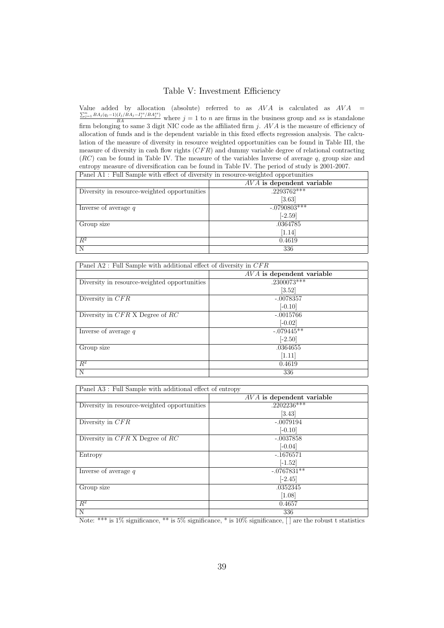#### Table V: Investment Efficiency

Value added by allocation (absolute) referred to as  $AVA$  is calculated as  $AVA = \sum_{n}^{n} BA(n-1)(L)BA - Bn(n-1)BBB(n-1)BBB(n-1)BBB(n-1)BBB(n-1)BBB(n-1)BBB(n-1)BBB(n-1)BBB(n-1)BBB(n-1)BBB(n-1)BBB(n-1)BBB(n-1)BBB(n-1)BBB(n-1)BBB(n-1)BBB(n-1)BBB(n-1)BBB(n-1)BBB(n-1)BBB(n-1)BB$  $\frac{\sum_{j=1}^{n} BA_j(q_j-1)(I_j/BA_j-I_j^{ss}/BA_j^{ss})}{BA}$  where  $j=1$  to n are firms in the business group and ss is standalone firm belonging to same 3 digit NIC code as the affiliated firm  $j$ .  $AVA$  is the measure of efficiency of allocation of funds and is the dependent variable in this fixed effects regression analysis. The calculation of the measure of diversity in resource weighted opportunities can be found in Table III, the measure of diversity in cash flow rights  $(CFR)$  and dummy variable degree of relational contracting (RC) can be found in Table IV. The measure of the variables Inverse of average q, group size and entropy measure of diversification can be found in Table IV. The period of study is 2001-2007.

| Panel A1: Full Sample with effect of diversity in resource-weighted opportunities |                             |  |
|-----------------------------------------------------------------------------------|-----------------------------|--|
|                                                                                   | $AVA$ is dependent variable |  |
| Diversity in resource-weighted opportunities                                      | $.2293762***$               |  |
|                                                                                   | $\left[3.63\right]$         |  |
| Inverse of average $q$                                                            | $-.0790803***$              |  |
|                                                                                   | $[-2.59]$                   |  |
| Group size                                                                        | .0364785                    |  |
| 1.14                                                                              |                             |  |
| $R^2$                                                                             | 0.4619                      |  |
| N                                                                                 | 336                         |  |

| Panel A2 : Full Sample with additional effect of diversity in $CFR$ |                             |  |
|---------------------------------------------------------------------|-----------------------------|--|
|                                                                     | $AVA$ is dependent variable |  |
| Diversity in resource-weighted opportunities                        | $.230\overline{0073***}$    |  |
|                                                                     | [3.52]                      |  |
| Diversity in $CFR$                                                  | $-.0078357$                 |  |
|                                                                     | $[-0.10]$                   |  |
| Diversity in $CFR$ X Degree of RC                                   | $-.0015766$                 |  |
|                                                                     | $[-0.02]$                   |  |
| Inverse of average $q$                                              | $-079445**$                 |  |
|                                                                     | $[-2.50]$                   |  |
| Group size                                                          | .0364655                    |  |
|                                                                     | [1.11]                      |  |
| $R^2$                                                               | 0.4619                      |  |
| N                                                                   | 336                         |  |

Panel A3 : Full Sample with additional effect of entropy

| $\mathbf{r}$ and $\mathbf{r}$ is an sample with additional direct of charge |                             |
|-----------------------------------------------------------------------------|-----------------------------|
|                                                                             | $AVA$ is dependent variable |
| Diversity in resource-weighted opportunities                                | $.2202236***$               |
|                                                                             | $\left[3.43\right]$         |
| Diversity in $CFR$                                                          | $-.0079194$                 |
|                                                                             | $[-0.10]$                   |
| Diversity in $CFR$ X Degree of RC                                           | $-.0037858$                 |
|                                                                             | $[-0.04]$                   |
| Entropy                                                                     | $-.1676571$                 |
|                                                                             | $[-1.52]$                   |
| Inverse of average $q$                                                      | $-.0767831**$               |
|                                                                             | $[-2.45]$                   |
| Group size                                                                  | .0352345                    |
|                                                                             | [1.08]                      |
| $R^2$                                                                       | 0.4657                      |
| N                                                                           | 336                         |

Note: \*\*\* is 1% significance, \*\* is 5% significance, \* is 10% significance, [ ] are the robust t statistics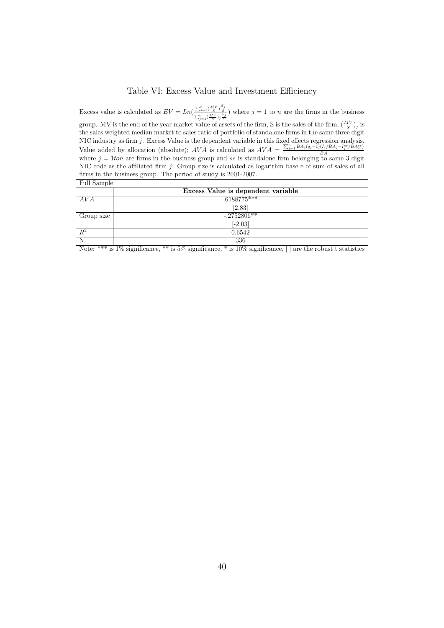#### Table VI: Excess Value and Investment Efficiency

Excess value is calculated as  $EV = Ln\left(\frac{\sum_{j=1}^{n} \left(\frac{MV}{S}\right) \frac{S_j}{S}}{\sum_{j=1}^{n} \left(\frac{MV}{S}\right) \frac{S_j}{S}}\right)$  where  $j = 1$  to n are the firms in the business group. MV is the end of the year market value of assets of the firm, S is the sales of the firm,  $(\frac{MV}{S})_j$  is the sales weighted median market to sales ratio of portfolio of standalone firms in the same three digit NIC industry as firm  $j$ . Excess Value is the dependent variable in this fixed effects regression analysis. Value added by allocation (absolute); AVA is calculated as  $AVA = \frac{\sum_{j=1}^{n} BA_j(q_j-1)(I_j/BA_j-I_j^{ss}/BA_j^{ss})}{BA}$ BA where  $j = 1$ ton are firms in the business group and ss is standalone firm belonging to same 3 digit NIC code as the affiliated firm j. Group size is calculated as logarithm base e of sum of sales of all firms in the business group. The period of study is 2001-2007.

| Full Sample |                                    |
|-------------|------------------------------------|
|             | Excess Value is dependent variable |
| AVA         | $.6188775***$                      |
|             | [2.83]                             |
| Group size  | $-0.2752806**$                     |
|             | $[-2.03]$                          |
| $R^2$       | 0.6542                             |
| N           | 336                                |

Note: \*\*\* is  $1\%$  significance, \*\* is  $5\%$  significance, \* is  $10\%$  significance,  $\Box$  are the robust t statistics